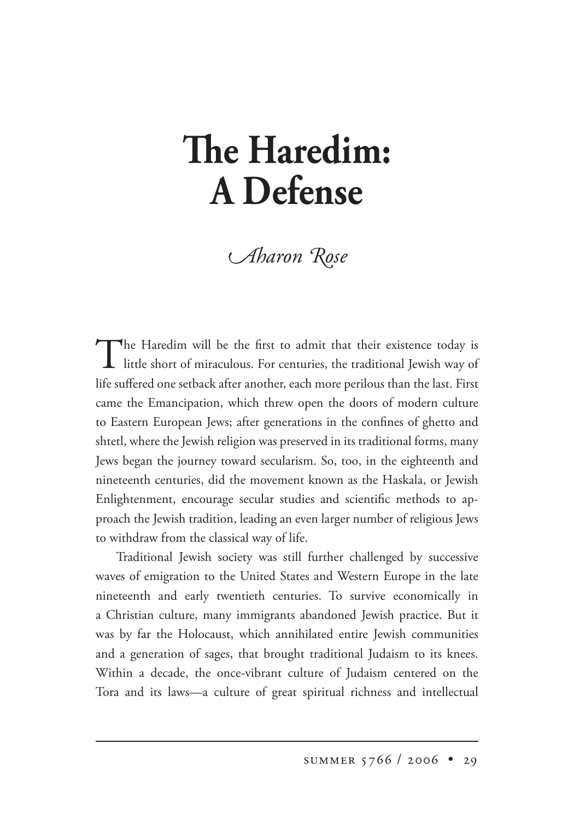## **e Haredim: A Defense**

*Aharon Rose* 

The Haredim will be the first to admit that their existence today is<br>little short of miraculous. For centuries, the traditional Jewish way of life suffered one setback after another, each more perilous than the last. First came the Emancipation, which threw open the doors of modern culture to Eastern European Jews; after generations in the confines of ghetto and shtetl, where the Jewish religion was preserved in its traditional forms, many Jews began the journey toward secularism. So, too, in the eighteenth and nineteenth centuries, did the movement known as the Haskala, or Jewish Enlightenment, encourage secular studies and scientific methods to approach the Jewish tradition, leading an even larger number of religious Jews to withdraw from the classical way of life.

Traditional Jewish society was still further challenged by successive waves of emigration to the United States and Western Europe in the late nineteenth and early twentieth centuries. To survive economically in a Christian culture, many immigrants abandoned Jewish practice. But it was by far the Holocaust, which annihilated entire Jewish communities and a generation of sages, that brought traditional Judaism to its knees. Within a decade, the once-vibrant culture of Judaism centered on the Tora and its laws—a culture of great spiritual richness and intellectual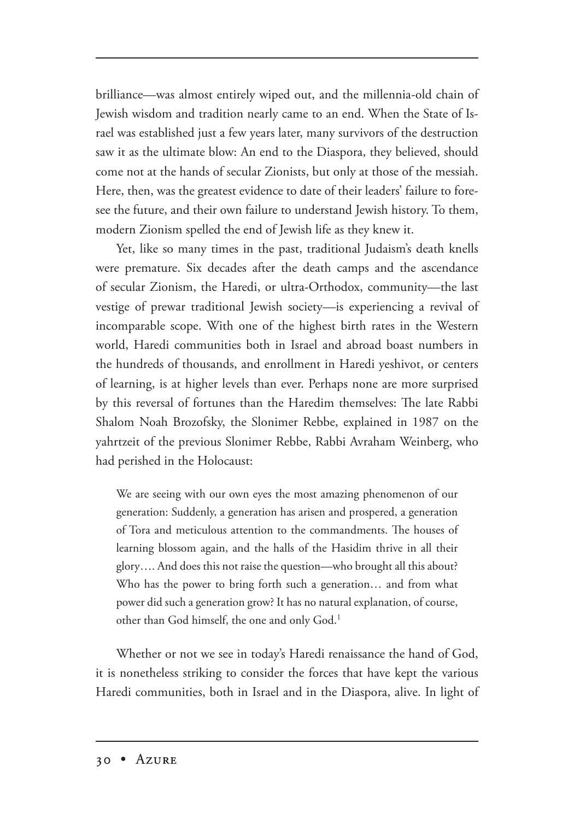brilliance—was almost entirely wiped out, and the millennia-old chain of Jewish wisdom and tradition nearly came to an end. When the State of Israel was established just a few years later, many survivors of the destruction saw it as the ultimate blow: An end to the Diaspora, they believed, should come not at the hands of secular Zionists, but only at those of the messiah. Here, then, was the greatest evidence to date of their leaders' failure to foresee the future, and their own failure to understand Jewish history. To them, modern Zionism spelled the end of Jewish life as they knew it.

Yet, like so many times in the past, traditional Judaism's death knells were premature. Six decades after the death camps and the ascendance of secular Zionism, the Haredi, or ultra-Orthodox, community—the last vestige of prewar traditional Jewish society—is experiencing a revival of incomparable scope. With one of the highest birth rates in the Western world, Haredi communities both in Israel and abroad boast numbers in the hundreds of thousands, and enrollment in Haredi yeshivot, or centers of learning, is at higher levels than ever. Perhaps none are more surprised by this reversal of fortunes than the Haredim themselves: The late Rabbi Shalom Noah Brozofsky, the Slonimer Rebbe, explained in 1987 on the yahrtzeit of the previous Slonimer Rebbe, Rabbi Avraham Weinberg, who had perished in the Holocaust:

We are seeing with our own eyes the most amazing phenomenon of our generation: Suddenly, a generation has arisen and prospered, a generation of Tora and meticulous attention to the commandments. The houses of learning blossom again, and the halls of the Hasidim thrive in all their glory…. And does this not raise the question—who brought all this about? Who has the power to bring forth such a generation… and from what power did such a generation grow? It has no natural explanation, of course, other than God himself, the one and only God.<sup>1</sup>

Whether or not we see in today's Haredi renaissance the hand of God, it is nonetheless striking to consider the forces that have kept the various Haredi communities, both in Israel and in the Diaspora, alive. In light of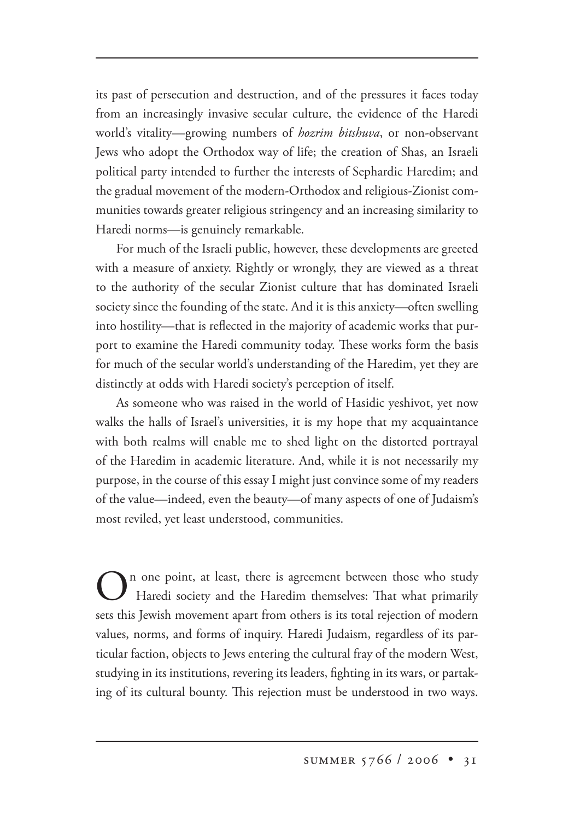its past of persecution and destruction, and of the pressures it faces today from an increasingly invasive secular culture, the evidence of the Haredi world's vitality—growing numbers of *hozrim bitshuva*, or non-observant Jews who adopt the Orthodox way of life; the creation of Shas, an Israeli political party intended to further the interests of Sephardic Haredim; and the gradual movement of the modern-Orthodox and religious-Zionist communities towards greater religious stringency and an increasing similarity to Haredi norms—is genuinely remarkable.

For much of the Israeli public, however, these developments are greeted with a measure of anxiety. Rightly or wrongly, they are viewed as a threat to the authority of the secular Zionist culture that has dominated Israeli society since the founding of the state. And it is this anxiety—often swelling into hostility—that is reflected in the majority of academic works that purport to examine the Haredi community today. These works form the basis for much of the secular world's understanding of the Haredim, yet they are distinctly at odds with Haredi society's perception of itself.

As someone who was raised in the world of Hasidic yeshivot, yet now walks the halls of Israel's universities, it is my hope that my acquaintance with both realms will enable me to shed light on the distorted portrayal of the Haredim in academic literature. And, while it is not necessarily my purpose, in the course of this essay I might just convince some of my readers of the value—indeed, even the beauty—of many aspects of one of Judaism's most reviled, yet least understood, communities.

 $\bigodot$ <sup>n</sup> one point, at least, there is agreement between those who study Haredi society and the Haredim themselves: That what primarily sets this Jewish movement apart from others is its total rejection of modern values, norms, and forms of inquiry. Haredi Judaism, regardless of its particular faction, objects to Jews entering the cultural fray of the modern West, studying in its institutions, revering its leaders, fighting in its wars, or partaking of its cultural bounty. This rejection must be understood in two ways.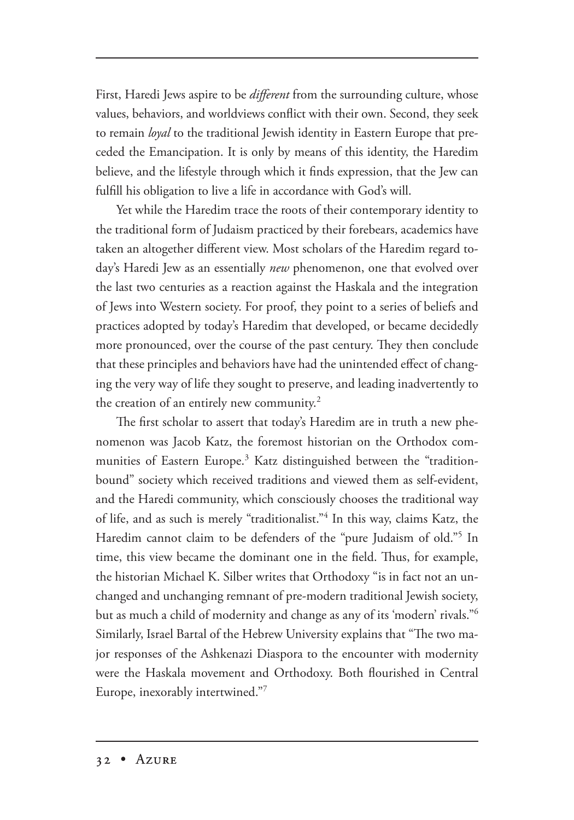First, Haredi Jews aspire to be *different* from the surrounding culture, whose values, behaviors, and worldviews conflict with their own. Second, they seek to remain *loyal* to the traditional Jewish identity in Eastern Europe that preceded the Emancipation. It is only by means of this identity, the Haredim believe, and the lifestyle through which it finds expression, that the Jew can fulfill his obligation to live a life in accordance with God's will.

Yet while the Haredim trace the roots of their contemporary identity to the traditional form of Judaism practiced by their forebears, academics have taken an altogether different view. Most scholars of the Haredim regard today's Haredi Jew as an essentially *new* phenomenon, one that evolved over the last two centuries as a reaction against the Haskala and the integration of Jews into Western society. For proof, they point to a series of beliefs and practices adopted by today's Haredim that developed, or became decidedly more pronounced, over the course of the past century. They then conclude that these principles and behaviors have had the unintended effect of changing the very way of life they sought to preserve, and leading inadvertently to the creation of an entirely new community.<sup>2</sup>

The first scholar to assert that today's Haredim are in truth a new phenomenon was Jacob Katz, the foremost historian on the Orthodox communities of Eastern Europe.<sup>3</sup> Katz distinguished between the "traditionbound" society which received traditions and viewed them as self-evident, and the Haredi community, which consciously chooses the traditional way of life, and as such is merely "traditionalist."4 In this way, claims Katz, the Haredim cannot claim to be defenders of the "pure Judaism of old."<sup>5</sup> In time, this view became the dominant one in the field. Thus, for example, the historian Michael K. Silber writes that Orthodoxy "is in fact not an unchanged and unchanging remnant of pre-modern traditional Jewish society, but as much a child of modernity and change as any of its 'modern' rivals."6 Similarly, Israel Bartal of the Hebrew University explains that "The two major responses of the Ashkenazi Diaspora to the encounter with modernity were the Haskala movement and Orthodoxy. Both flourished in Central Europe, inexorably intertwined."7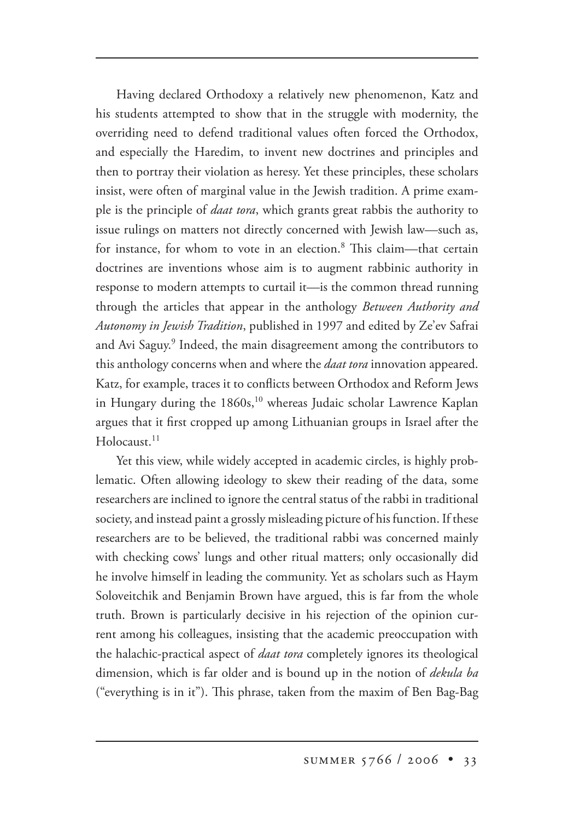Having declared Orthodoxy a relatively new phenomenon, Katz and his students attempted to show that in the struggle with modernity, the overriding need to defend traditional values often forced the Orthodox, and especially the Haredim, to invent new doctrines and principles and then to portray their violation as heresy. Yet these principles, these scholars insist, were often of marginal value in the Jewish tradition. A prime example is the principle of *daat tora*, which grants great rabbis the authority to issue rulings on matters not directly concerned with Jewish law—such as, for instance, for whom to vote in an election.<sup>8</sup> This claim—that certain doctrines are inventions whose aim is to augment rabbinic authority in response to modern attempts to curtail it—is the common thread running through the articles that appear in the anthology *Between Authority and Autonomy in Jewish Tradition*, published in 1997 and edited by Ze'ev Safrai and Avi Saguy.<sup>9</sup> Indeed, the main disagreement among the contributors to this anthology concerns when and where the *daat tora* innovation appeared. Katz, for example, traces it to conflicts between Orthodox and Reform Jews in Hungary during the 1860s,<sup>10</sup> whereas Judaic scholar Lawrence Kaplan argues that it first cropped up among Lithuanian groups in Israel after the Holocaust<sup>11</sup>

Yet this view, while widely accepted in academic circles, is highly problematic. Often allowing ideology to skew their reading of the data, some researchers are inclined to ignore the central status of the rabbi in traditional society, and instead paint a grossly misleading picture of his function. If these researchers are to be believed, the traditional rabbi was concerned mainly with checking cows' lungs and other ritual matters; only occasionally did he involve himself in leading the community. Yet as scholars such as Haym Soloveitchik and Benjamin Brown have argued, this is far from the whole truth. Brown is particularly decisive in his rejection of the opinion current among his colleagues, insisting that the academic preoccupation with the halachic-practical aspect of *daat tora* completely ignores its theological dimension, which is far older and is bound up in the notion of *dekula ba* ("everything is in it"). This phrase, taken from the maxim of Ben Bag-Bag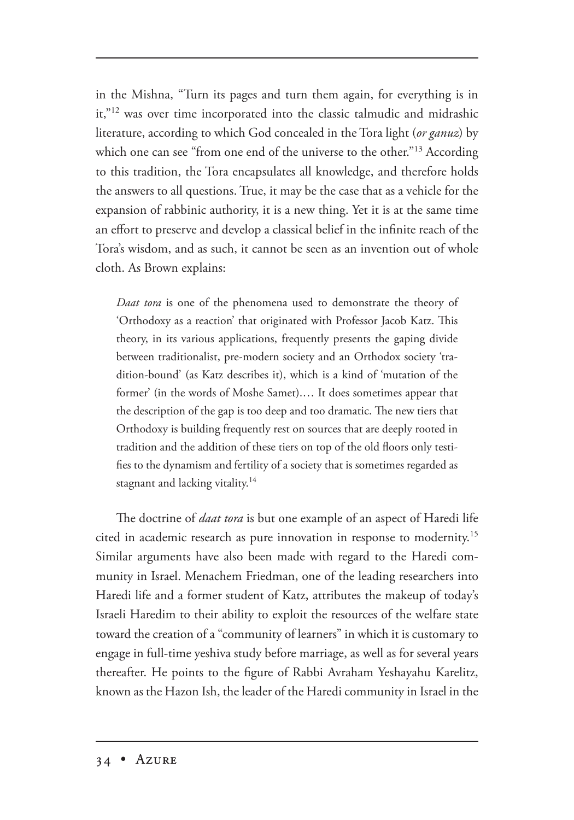in the Mishna, "Turn its pages and turn them again, for everything is in it,"12 was over time incorporated into the classic talmudic and midrashic literature, according to which God concealed in the Tora light (*or ganuz*) by which one can see "from one end of the universe to the other."<sup>13</sup> According to this tradition, the Tora encapsulates all knowledge, and therefore holds the answers to all questions. True, it may be the case that as a vehicle for the expansion of rabbinic authority, it is a new thing. Yet it is at the same time an effort to preserve and develop a classical belief in the infinite reach of the Tora's wisdom, and as such, it cannot be seen as an invention out of whole cloth. As Brown explains:

*Daat tora* is one of the phenomena used to demonstrate the theory of 'Orthodoxy as a reaction' that originated with Professor Jacob Katz. This theory, in its various applications, frequently presents the gaping divide between traditionalist, pre-modern society and an Orthodox society 'tradition-bound' (as Katz describes it), which is a kind of 'mutation of the former' (in the words of Moshe Samet).… It does sometimes appear that the description of the gap is too deep and too dramatic. The new tiers that Orthodoxy is building frequently rest on sources that are deeply rooted in tradition and the addition of these tiers on top of the old floors only testifies to the dynamism and fertility of a society that is sometimes regarded as stagnant and lacking vitality.<sup>14</sup>

The doctrine of *daat tora* is but one example of an aspect of Haredi life cited in academic research as pure innovation in response to modernity.<sup>15</sup> Similar arguments have also been made with regard to the Haredi community in Israel. Menachem Friedman, one of the leading researchers into Haredi life and a former student of Katz, attributes the makeup of today's Israeli Haredim to their ability to exploit the resources of the welfare state toward the creation of a "community of learners" in which it is customary to engage in full-time yeshiva study before marriage, as well as for several years thereafter. He points to the figure of Rabbi Avraham Yeshayahu Karelitz, known as the Hazon Ish, the leader of the Haredi community in Israel in the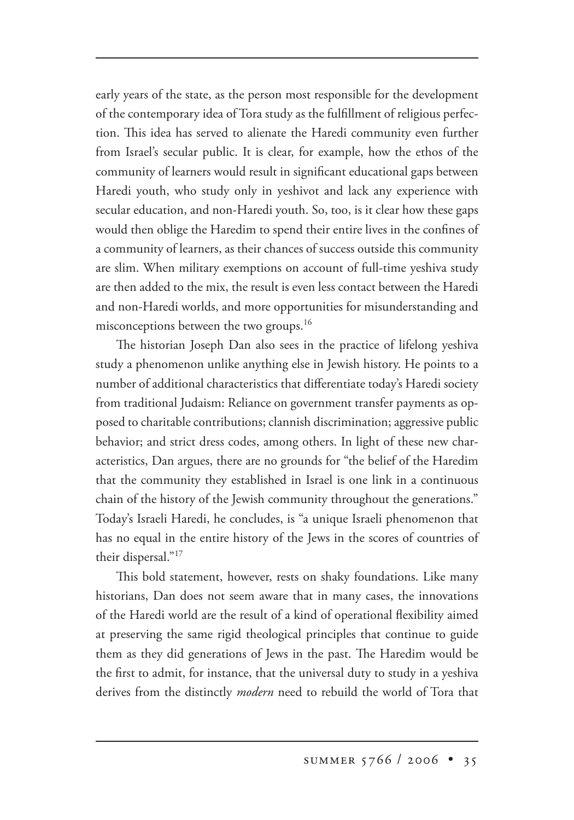early years of the state, as the person most responsible for the development of the contemporary idea of Tora study as the fulfillment of religious perfection. This idea has served to alienate the Haredi community even further from Israel's secular public. It is clear, for example, how the ethos of the community of learners would result in significant educational gaps between Haredi youth, who study only in yeshivot and lack any experience with secular education, and non-Haredi youth. So, too, is it clear how these gaps would then oblige the Haredim to spend their entire lives in the confines of a community of learners, as their chances of success outside this community are slim. When military exemptions on account of full-time yeshiva study are then added to the mix, the result is even less contact between the Haredi and non-Haredi worlds, and more opportunities for misunderstanding and misconceptions between the two groups.<sup>16</sup>

The historian Joseph Dan also sees in the practice of lifelong yeshiva study a phenomenon unlike anything else in Jewish history. He points to a number of additional characteristics that differentiate today's Haredi society from traditional Judaism: Reliance on government transfer payments as opposed to charitable contributions; clannish discrimination; aggressive public behavior; and strict dress codes, among others. In light of these new characteristics, Dan argues, there are no grounds for "the belief of the Haredim that the community they established in Israel is one link in a continuous chain of the history of the Jewish community throughout the generations." Today's Israeli Haredi, he concludes, is "a unique Israeli phenomenon that has no equal in the entire history of the Jews in the scores of countries of their dispersal."17

This bold statement, however, rests on shaky foundations. Like many historians, Dan does not seem aware that in many cases, the innovations of the Haredi world are the result of a kind of operational flexibility aimed at preserving the same rigid theological principles that continue to guide them as they did generations of Jews in the past. The Haredim would be the first to admit, for instance, that the universal duty to study in a yeshiva derives from the distinctly *modern* need to rebuild the world of Tora that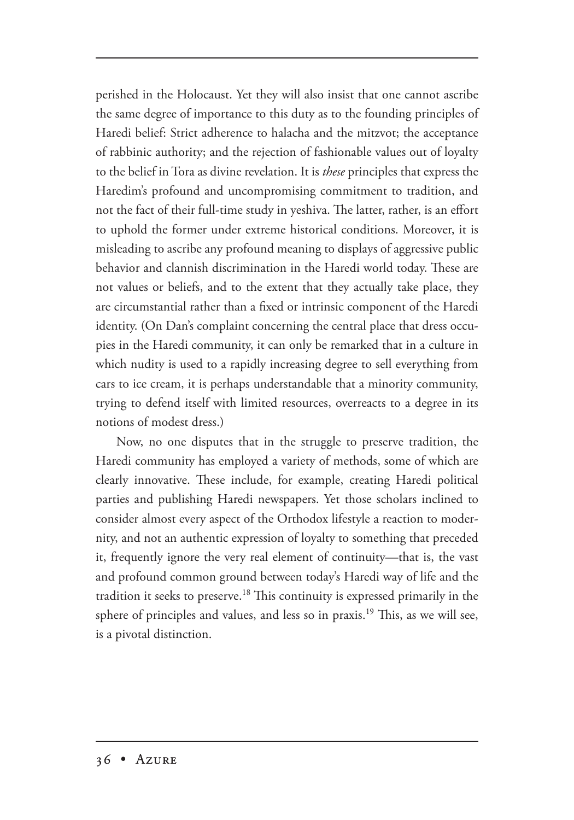perished in the Holocaust. Yet they will also insist that one cannot ascribe the same degree of importance to this duty as to the founding principles of Haredi belief: Strict adherence to halacha and the mitzvot; the acceptance of rabbinic authority; and the rejection of fashionable values out of loyalty to the belief in Tora as divine revelation. It is *these* principles that express the Haredim's profound and uncompromising commitment to tradition, and not the fact of their full-time study in yeshiva. The latter, rather, is an effort to uphold the former under extreme historical conditions. Moreover, it is misleading to ascribe any profound meaning to displays of aggressive public behavior and clannish discrimination in the Haredi world today. These are not values or beliefs, and to the extent that they actually take place, they are circumstantial rather than a fixed or intrinsic component of the Haredi identity. (On Dan's complaint concerning the central place that dress occupies in the Haredi community, it can only be remarked that in a culture in which nudity is used to a rapidly increasing degree to sell everything from cars to ice cream, it is perhaps understandable that a minority community, trying to defend itself with limited resources, overreacts to a degree in its notions of modest dress.)

Now, no one disputes that in the struggle to preserve tradition, the Haredi community has employed a variety of methods, some of which are clearly innovative. These include, for example, creating Haredi political parties and publishing Haredi newspapers. Yet those scholars inclined to consider almost every aspect of the Orthodox lifestyle a reaction to modernity, and not an authentic expression of loyalty to something that preceded it, frequently ignore the very real element of continuity—that is, the vast and profound common ground between today's Haredi way of life and the tradition it seeks to preserve.<sup>18</sup> This continuity is expressed primarily in the sphere of principles and values, and less so in praxis.<sup>19</sup> This, as we will see, is a pivotal distinction.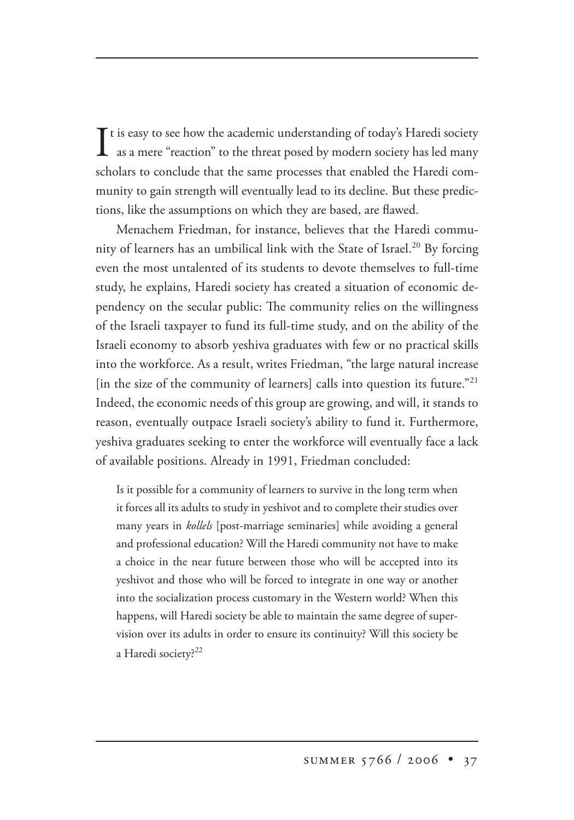It is easy to see how the academic understanding of today's Haredi society<br>as a mere "reaction" to the threat posed by modern society has led many as a mere "reaction" to the threat posed by modern society has led many scholars to conclude that the same processes that enabled the Haredi community to gain strength will eventually lead to its decline. But these predictions, like the assumptions on which they are based, are flawed.

Menachem Friedman, for instance, believes that the Haredi community of learners has an umbilical link with the State of Israel.<sup>20</sup> By forcing even the most untalented of its students to devote themselves to full-time study, he explains, Haredi society has created a situation of economic dependency on the secular public: The community relies on the willingness of the Israeli taxpayer to fund its full-time study, and on the ability of the Israeli economy to absorb yeshiva graduates with few or no practical skills into the workforce. As a result, writes Friedman, "the large natural increase [in the size of the community of learners] calls into question its future."<sup>21</sup> Indeed, the economic needs of this group are growing, and will, it stands to reason, eventually outpace Israeli society's ability to fund it. Furthermore, yeshiva graduates seeking to enter the workforce will eventually face a lack of available positions. Already in 1991, Friedman concluded:

Is it possible for a community of learners to survive in the long term when it forces all its adults to study in yeshivot and to complete their studies over many years in *kollels* [post-marriage seminaries] while avoiding a general and professional education? Will the Haredi community not have to make a choice in the near future between those who will be accepted into its yeshivot and those who will be forced to integrate in one way or another into the socialization process customary in the Western world? When this happens, will Haredi society be able to maintain the same degree of supervision over its adults in order to ensure its continuity? Will this society be a Haredi society?<sup>22</sup>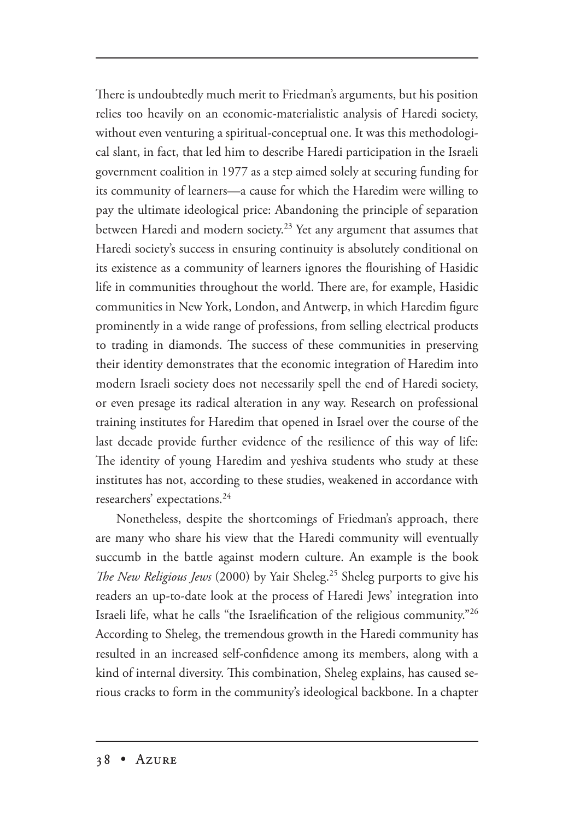There is undoubtedly much merit to Friedman's arguments, but his position relies too heavily on an economic-materialistic analysis of Haredi society, without even venturing a spiritual-conceptual one. It was this methodological slant, in fact, that led him to describe Haredi participation in the Israeli government coalition in 1977 as a step aimed solely at securing funding for its community of learners—a cause for which the Haredim were willing to pay the ultimate ideological price: Abandoning the principle of separation between Haredi and modern society.23 Yet any argument that assumes that Haredi society's success in ensuring continuity is absolutely conditional on its existence as a community of learners ignores the flourishing of Hasidic life in communities throughout the world. There are, for example, Hasidic communities in New York, London, and Antwerp, in which Haredim figure prominently in a wide range of professions, from selling electrical products to trading in diamonds. The success of these communities in preserving their identity demonstrates that the economic integration of Haredim into modern Israeli society does not necessarily spell the end of Haredi society, or even presage its radical alteration in any way. Research on professional training institutes for Haredim that opened in Israel over the course of the last decade provide further evidence of the resilience of this way of life: The identity of young Haredim and yeshiva students who study at these institutes has not, according to these studies, weakened in accordance with researchers' expectations.24

Nonetheless, despite the shortcomings of Friedman's approach, there are many who share his view that the Haredi community will eventually succumb in the battle against modern culture. An example is the book *The New Religious Jews* (2000) by Yair Sheleg.<sup>25</sup> Sheleg purports to give his readers an up-to-date look at the process of Haredi Jews' integration into Israeli life, what he calls "the Israelification of the religious community."<sup>26</sup> According to Sheleg, the tremendous growth in the Haredi community has resulted in an increased self-confidence among its members, along with a kind of internal diversity. This combination, Sheleg explains, has caused serious cracks to form in the community's ideological backbone. In a chapter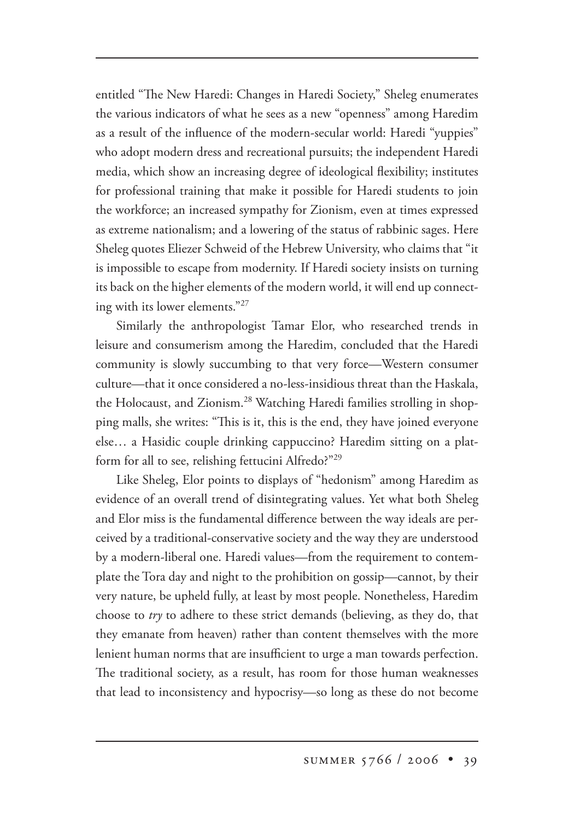entitled "The New Haredi: Changes in Haredi Society," Sheleg enumerates the various indicators of what he sees as a new "openness" among Haredim as a result of the influence of the modern-secular world: Haredi "yuppies" who adopt modern dress and recreational pursuits; the independent Haredi media, which show an increasing degree of ideological flexibility; institutes for professional training that make it possible for Haredi students to join the workforce; an increased sympathy for Zionism, even at times expressed as extreme nationalism; and a lowering of the status of rabbinic sages. Here Sheleg quotes Eliezer Schweid of the Hebrew University, who claims that "it is impossible to escape from modernity. If Haredi society insists on turning its back on the higher elements of the modern world, it will end up connecting with its lower elements."27

Similarly the anthropologist Tamar Elor, who researched trends in leisure and consumerism among the Haredim, concluded that the Haredi community is slowly succumbing to that very force—Western consumer culture—that it once considered a no-less-insidious threat than the Haskala, the Holocaust, and Zionism.<sup>28</sup> Watching Haredi families strolling in shopping malls, she writes: "This is it, this is the end, they have joined everyone else… a Hasidic couple drinking cappuccino? Haredim sitting on a platform for all to see, relishing fettucini Alfredo?"29

Like Sheleg, Elor points to displays of "hedonism" among Haredim as evidence of an overall trend of disintegrating values. Yet what both Sheleg and Elor miss is the fundamental difference between the way ideals are perceived by a traditional-conservative society and the way they are understood by a modern-liberal one. Haredi values—from the requirement to contemplate the Tora day and night to the prohibition on gossip—cannot, by their very nature, be upheld fully, at least by most people. Nonetheless, Haredim choose to *try* to adhere to these strict demands (believing, as they do, that they emanate from heaven) rather than content themselves with the more lenient human norms that are insufficient to urge a man towards perfection. The traditional society, as a result, has room for those human weaknesses that lead to inconsistency and hypocrisy—so long as these do not become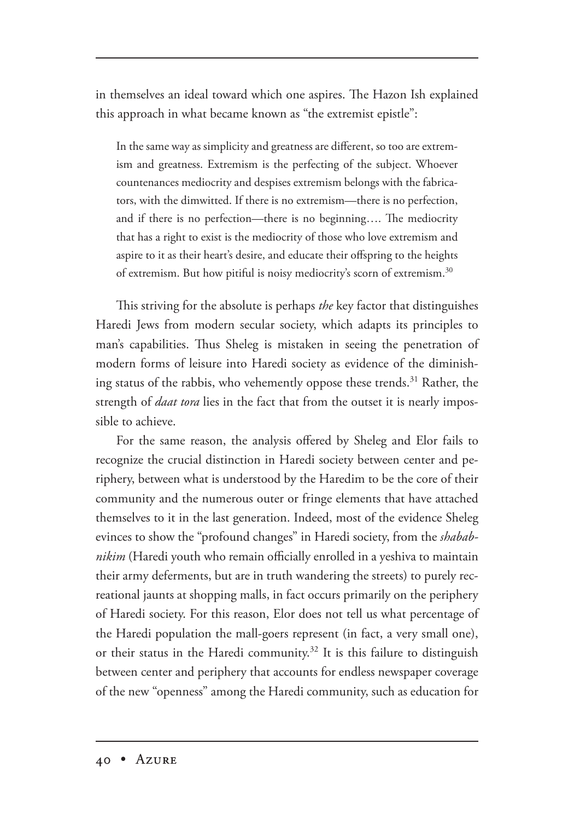in themselves an ideal toward which one aspires. The Hazon Ish explained this approach in what became known as "the extremist epistle":

In the same way as simplicity and greatness are different, so too are extremism and greatness. Extremism is the perfecting of the subject. Whoever countenances mediocrity and despises extremism belongs with the fabricators, with the dimwitted. If there is no extremism—there is no perfection, and if there is no perfection—there is no beginning.... The mediocrity that has a right to exist is the mediocrity of those who love extremism and aspire to it as their heart's desire, and educate their offspring to the heights of extremism. But how pitiful is noisy mediocrity's scorn of extremism.<sup>30</sup>

This striving for the absolute is perhaps *the* key factor that distinguishes Haredi Jews from modern secular society, which adapts its principles to man's capabilities. Thus Sheleg is mistaken in seeing the penetration of modern forms of leisure into Haredi society as evidence of the diminishing status of the rabbis, who vehemently oppose these trends.<sup>31</sup> Rather, the strength of *daat tora* lies in the fact that from the outset it is nearly impossible to achieve.

For the same reason, the analysis offered by Sheleg and Elor fails to recognize the crucial distinction in Haredi society between center and periphery, between what is understood by the Haredim to be the core of their community and the numerous outer or fringe elements that have attached themselves to it in the last generation. Indeed, most of the evidence Sheleg evinces to show the "profound changes" in Haredi society, from the *shababnikim* (Haredi youth who remain officially enrolled in a yeshiva to maintain their army deferments, but are in truth wandering the streets) to purely recreational jaunts at shopping malls, in fact occurs primarily on the periphery of Haredi society. For this reason, Elor does not tell us what percentage of the Haredi population the mall-goers represent (in fact, a very small one), or their status in the Haredi community.<sup>32</sup> It is this failure to distinguish between center and periphery that accounts for endless newspaper coverage of the new "openness" among the Haredi community, such as education for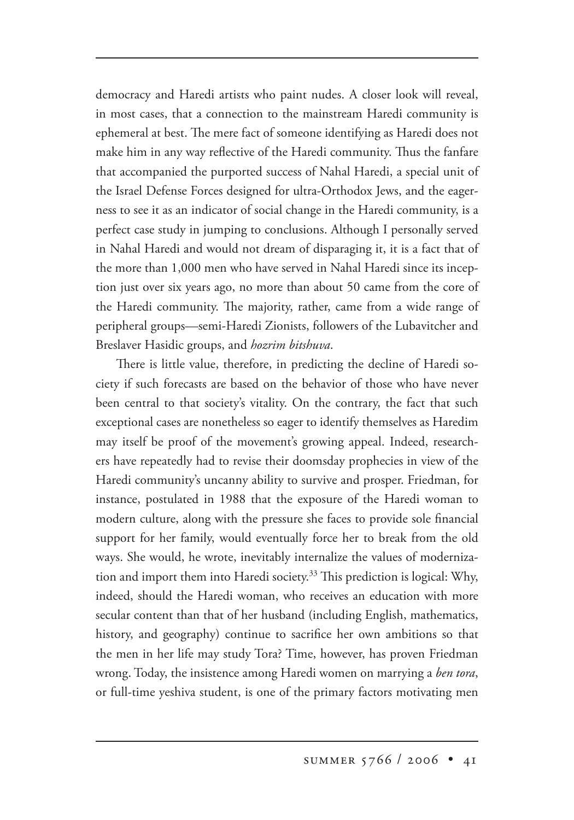democracy and Haredi artists who paint nudes. A closer look will reveal, in most cases, that a connection to the mainstream Haredi community is ephemeral at best. The mere fact of someone identifying as Haredi does not make him in any way reflective of the Haredi community. Thus the fanfare that accompanied the purported success of Nahal Haredi, a special unit of the Israel Defense Forces designed for ultra-Orthodox Jews, and the eagerness to see it as an indicator of social change in the Haredi community, is a perfect case study in jumping to conclusions. Although I personally served in Nahal Haredi and would not dream of disparaging it, it is a fact that of the more than 1,000 men who have served in Nahal Haredi since its inception just over six years ago, no more than about 50 came from the core of the Haredi community. The majority, rather, came from a wide range of peripheral groups—semi-Haredi Zionists, followers of the Lubavitcher and Breslaver Hasidic groups, and *hozrim bitshuva*.

There is little value, therefore, in predicting the decline of Haredi society if such forecasts are based on the behavior of those who have never been central to that society's vitality. On the contrary, the fact that such exceptional cases are nonetheless so eager to identify themselves as Haredim may itself be proof of the movement's growing appeal. Indeed, researchers have repeatedly had to revise their doomsday prophecies in view of the Haredi community's uncanny ability to survive and prosper. Friedman, for instance, postulated in 1988 that the exposure of the Haredi woman to modern culture, along with the pressure she faces to provide sole financial support for her family, would eventually force her to break from the old ways. She would, he wrote, inevitably internalize the values of modernization and import them into Haredi society.<sup>33</sup> This prediction is logical: Why, indeed, should the Haredi woman, who receives an education with more secular content than that of her husband (including English, mathematics, history, and geography) continue to sacrifice her own ambitions so that the men in her life may study Tora? Time, however, has proven Friedman wrong. Today, the insistence among Haredi women on marrying a *ben tora*, or full-time yeshiva student, is one of the primary factors motivating men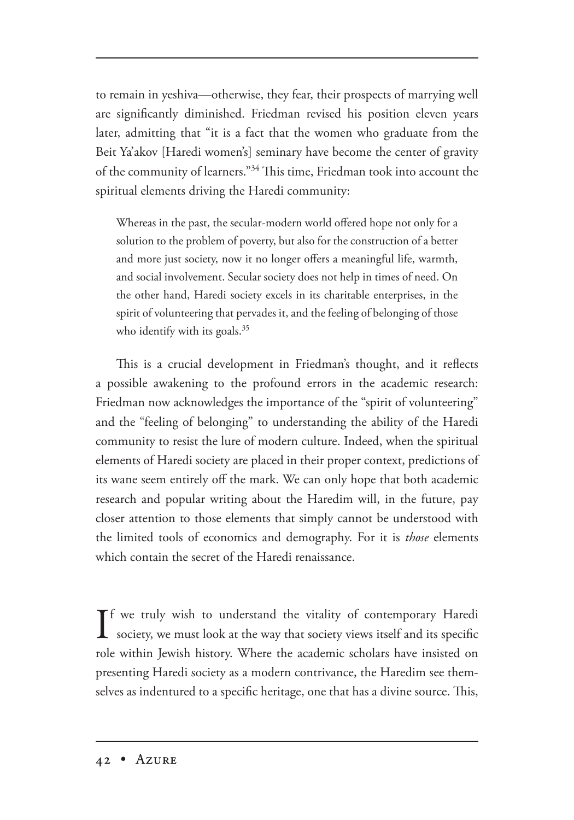to remain in yeshiva—otherwise, they fear, their prospects of marrying well are significantly diminished. Friedman revised his position eleven years later, admitting that "it is a fact that the women who graduate from the Beit Ya'akov [Haredi women's] seminary have become the center of gravity of the community of learners." $34$  This time, Friedman took into account the spiritual elements driving the Haredi community:

Whereas in the past, the secular-modern world offered hope not only for a solution to the problem of poverty, but also for the construction of a better and more just society, now it no longer offers a meaningful life, warmth, and social involvement. Secular society does not help in times of need. On the other hand, Haredi society excels in its charitable enterprises, in the spirit of volunteering that pervades it, and the feeling of belonging of those who identify with its goals. $35$ 

This is a crucial development in Friedman's thought, and it reflects a possible awakening to the profound errors in the academic research: Friedman now acknowledges the importance of the "spirit of volunteering" and the "feeling of belonging" to understanding the ability of the Haredi community to resist the lure of modern culture. Indeed, when the spiritual elements of Haredi society are placed in their proper context, predictions of its wane seem entirely off the mark. We can only hope that both academic research and popular writing about the Haredim will, in the future, pay closer attention to those elements that simply cannot be understood with the limited tools of economics and demography. For it is *those* elements which contain the secret of the Haredi renaissance.

If we truly wish to understand the vitality of contemporary Haredi<br>society, we must look at the way that society views itself and its specific society, we must look at the way that society views itself and its specific role within Jewish history. Where the academic scholars have insisted on presenting Haredi society as a modern contrivance, the Haredim see themselves as indentured to a specific heritage, one that has a divine source. This,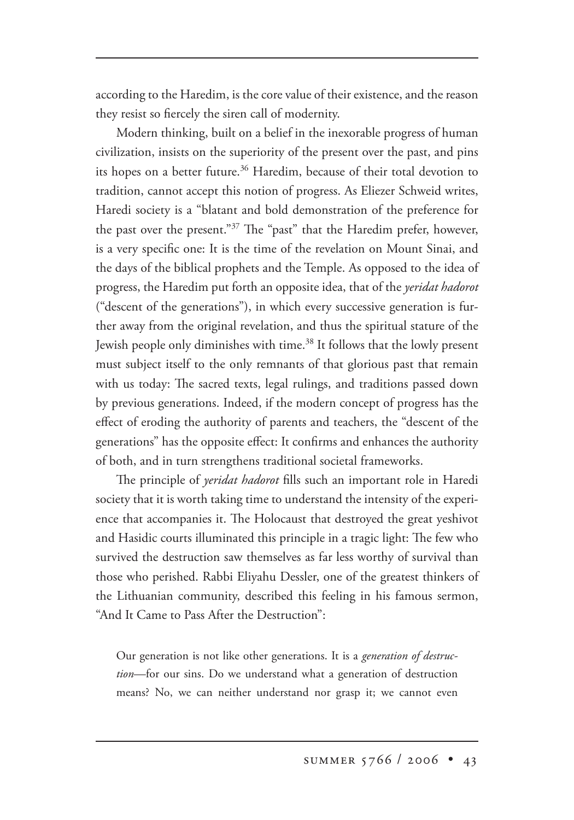according to the Haredim, is the core value of their existence, and the reason they resist so fiercely the siren call of modernity.

Modern thinking, built on a belief in the inexorable progress of human civilization, insists on the superiority of the present over the past, and pins its hopes on a better future.<sup>36</sup> Haredim, because of their total devotion to tradition, cannot accept this notion of progress. As Eliezer Schweid writes, Haredi society is a "blatant and bold demonstration of the preference for the past over the present."<sup>37</sup> The "past" that the Haredim prefer, however, is a very specific one: It is the time of the revelation on Mount Sinai, and the days of the biblical prophets and the Temple. As opposed to the idea of progress, the Haredim put forth an opposite idea, that of the *yeridat hadorot* ("descent of the generations"), in which every successive generation is further away from the original revelation, and thus the spiritual stature of the Jewish people only diminishes with time.38 It follows that the lowly present must subject itself to the only remnants of that glorious past that remain with us today: The sacred texts, legal rulings, and traditions passed down by previous generations. Indeed, if the modern concept of progress has the effect of eroding the authority of parents and teachers, the "descent of the generations" has the opposite effect: It confirms and enhances the authority of both, and in turn strengthens traditional societal frameworks.

e principle of *yeridat hadorot* fills such an important role in Haredi society that it is worth taking time to understand the intensity of the experience that accompanies it. The Holocaust that destroyed the great yeshivot and Hasidic courts illuminated this principle in a tragic light: The few who survived the destruction saw themselves as far less worthy of survival than those who perished. Rabbi Eliyahu Dessler, one of the greatest thinkers of the Lithuanian community, described this feeling in his famous sermon, "And It Came to Pass After the Destruction":

Our generation is not like other generations. It is a *generation of destruction*—for our sins. Do we understand what a generation of destruction means? No, we can neither understand nor grasp it; we cannot even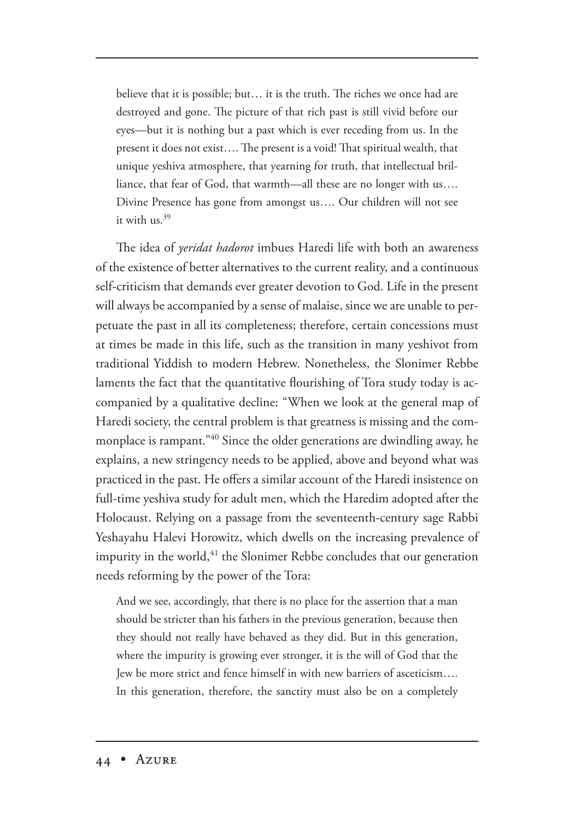believe that it is possible; but... it is the truth. The riches we once had are destroyed and gone. The picture of that rich past is still vivid before our eyes—but it is nothing but a past which is ever receding from us. In the present it does not exist.... The present is a void! That spiritual wealth, that unique yeshiva atmosphere, that yearning for truth, that intellectual brilliance, that fear of God, that warmth—all these are no longer with us…. Divine Presence has gone from amongst us…. Our children will not see it with us.39

The idea of *yeridat hadorot* imbues Haredi life with both an awareness of the existence of better alternatives to the current reality, and a continuous self-criticism that demands ever greater devotion to God. Life in the present will always be accompanied by a sense of malaise, since we are unable to perpetuate the past in all its completeness; therefore, certain concessions must at times be made in this life, such as the transition in many yeshivot from traditional Yiddish to modern Hebrew. Nonetheless, the Slonimer Rebbe laments the fact that the quantitative flourishing of Tora study today is accompanied by a qualitative decline: "When we look at the general map of Haredi society, the central problem is that greatness is missing and the commonplace is rampant."40 Since the older generations are dwindling away, he explains, a new stringency needs to be applied, above and beyond what was practiced in the past. He offers a similar account of the Haredi insistence on full-time yeshiva study for adult men, which the Haredim adopted after the Holocaust. Relying on a passage from the seventeenth-century sage Rabbi Yeshayahu Halevi Horowitz, which dwells on the increasing prevalence of impurity in the world,<sup>41</sup> the Slonimer Rebbe concludes that our generation needs reforming by the power of the Tora:

And we see, accordingly, that there is no place for the assertion that a man should be stricter than his fathers in the previous generation, because then they should not really have behaved as they did. But in this generation, where the impurity is growing ever stronger, it is the will of God that the Jew be more strict and fence himself in with new barriers of asceticism…. In this generation, therefore, the sanctity must also be on a completely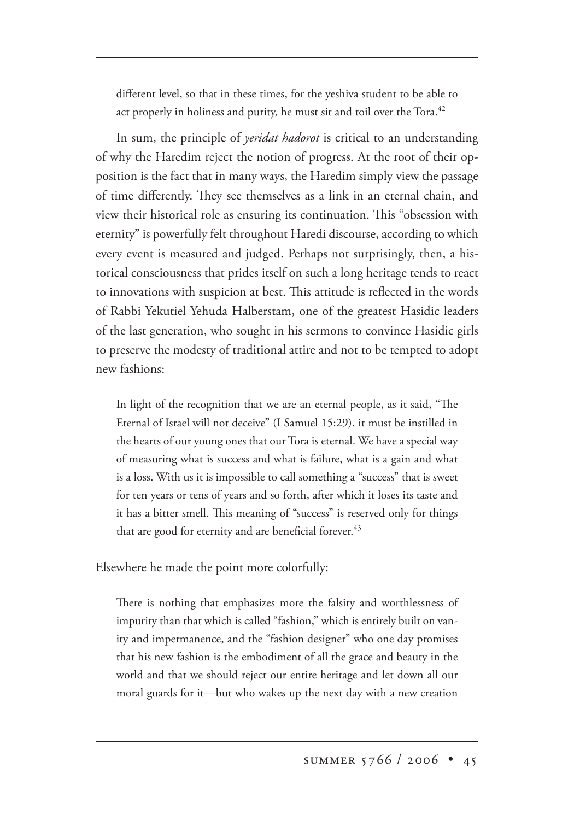different level, so that in these times, for the yeshiva student to be able to act properly in holiness and purity, he must sit and toil over the Tora.<sup>42</sup>

In sum, the principle of *yeridat hadorot* is critical to an understanding of why the Haredim reject the notion of progress. At the root of their opposition is the fact that in many ways, the Haredim simply view the passage of time differently. They see themselves as a link in an eternal chain, and view their historical role as ensuring its continuation. This "obsession with eternity" is powerfully felt throughout Haredi discourse, according to which every event is measured and judged. Perhaps not surprisingly, then, a historical consciousness that prides itself on such a long heritage tends to react to innovations with suspicion at best. This attitude is reflected in the words of Rabbi Yekutiel Yehuda Halberstam, one of the greatest Hasidic leaders of the last generation, who sought in his sermons to convince Hasidic girls to preserve the modesty of traditional attire and not to be tempted to adopt new fashions:

In light of the recognition that we are an eternal people, as it said, "The Eternal of Israel will not deceive" (I Samuel 15:29), it must be instilled in the hearts of our young ones that our Tora is eternal. We have a special way of measuring what is success and what is failure, what is a gain and what is a loss. With us it is impossible to call something a "success" that is sweet for ten years or tens of years and so forth, after which it loses its taste and it has a bitter smell. This meaning of "success" is reserved only for things that are good for eternity and are beneficial forever.<sup>43</sup>

Elsewhere he made the point more colorfully:

There is nothing that emphasizes more the falsity and worthlessness of impurity than that which is called "fashion," which is entirely built on vanity and impermanence, and the "fashion designer" who one day promises that his new fashion is the embodiment of all the grace and beauty in the world and that we should reject our entire heritage and let down all our moral guards for it—but who wakes up the next day with a new creation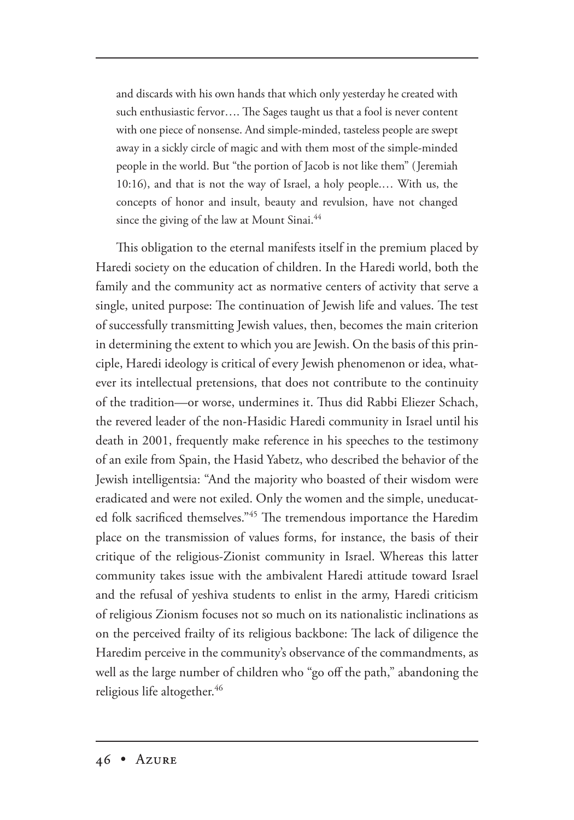and discards with his own hands that which only yesterday he created with such enthusiastic fervor.... The Sages taught us that a fool is never content with one piece of nonsense. And simple-minded, tasteless people are swept away in a sickly circle of magic and with them most of the simple-minded people in the world. But "the portion of Jacob is not like them" (Jeremiah 10:16), and that is not the way of Israel, a holy people.… With us, the concepts of honor and insult, beauty and revulsion, have not changed since the giving of the law at Mount Sinai.<sup>44</sup>

This obligation to the eternal manifests itself in the premium placed by Haredi society on the education of children. In the Haredi world, both the family and the community act as normative centers of activity that serve a single, united purpose: The continuation of Jewish life and values. The test of successfully transmitting Jewish values, then, becomes the main criterion in determining the extent to which you are Jewish. On the basis of this principle, Haredi ideology is critical of every Jewish phenomenon or idea, whatever its intellectual pretensions, that does not contribute to the continuity of the tradition—or worse, undermines it. Thus did Rabbi Eliezer Schach, the revered leader of the non-Hasidic Haredi community in Israel until his death in 2001, frequently make reference in his speeches to the testimony of an exile from Spain, the Hasid Yabetz, who described the behavior of the Jewish intelligentsia: "And the majority who boasted of their wisdom were eradicated and were not exiled. Only the women and the simple, uneducated folk sacrificed themselves."45 The tremendous importance the Haredim place on the transmission of values forms, for instance, the basis of their critique of the religious-Zionist community in Israel. Whereas this latter community takes issue with the ambivalent Haredi attitude toward Israel and the refusal of yeshiva students to enlist in the army, Haredi criticism of religious Zionism focuses not so much on its nationalistic inclinations as on the perceived frailty of its religious backbone: The lack of diligence the Haredim perceive in the community's observance of the commandments, as well as the large number of children who "go off the path," abandoning the religious life altogether.<sup>46</sup>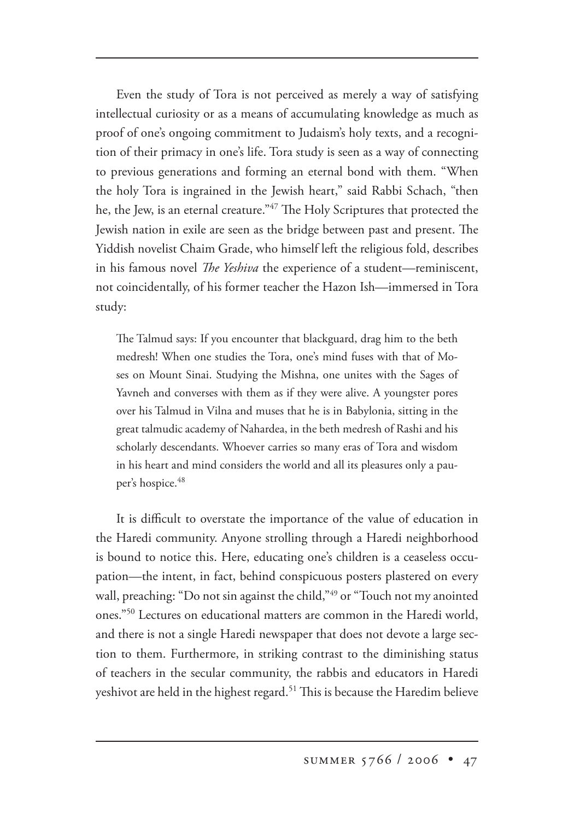Even the study of Tora is not perceived as merely a way of satisfying intellectual curiosity or as a means of accumulating knowledge as much as proof of one's ongoing commitment to Judaism's holy texts, and a recognition of their primacy in one's life. Tora study is seen as a way of connecting to previous generations and forming an eternal bond with them. "When the holy Tora is ingrained in the Jewish heart," said Rabbi Schach, "then he, the Jew, is an eternal creature."<sup>47</sup> The Holy Scriptures that protected the Jewish nation in exile are seen as the bridge between past and present. The Yiddish novelist Chaim Grade, who himself left the religious fold, describes in his famous novel *The Yeshiva* the experience of a student—reminiscent, not coincidentally, of his former teacher the Hazon Ish—immersed in Tora study:

The Talmud says: If you encounter that blackguard, drag him to the beth medresh! When one studies the Tora, one's mind fuses with that of Moses on Mount Sinai. Studying the Mishna, one unites with the Sages of Yavneh and converses with them as if they were alive. A youngster pores over his Talmud in Vilna and muses that he is in Babylonia, sitting in the great talmudic academy of Nahardea, in the beth medresh of Rashi and his scholarly descendants. Whoever carries so many eras of Tora and wisdom in his heart and mind considers the world and all its pleasures only a pauper's hospice.<sup>48</sup>

It is difficult to overstate the importance of the value of education in the Haredi community. Anyone strolling through a Haredi neighborhood is bound to notice this. Here, educating one's children is a ceaseless occupation—the intent, in fact, behind conspicuous posters plastered on every wall, preaching: "Do not sin against the child,"<sup>49</sup> or "Touch not my anointed ones."50 Lectures on educational matters are common in the Haredi world, and there is not a single Haredi newspaper that does not devote a large section to them. Furthermore, in striking contrast to the diminishing status of teachers in the secular community, the rabbis and educators in Haredi yeshivot are held in the highest regard.<sup>51</sup> This is because the Haredim believe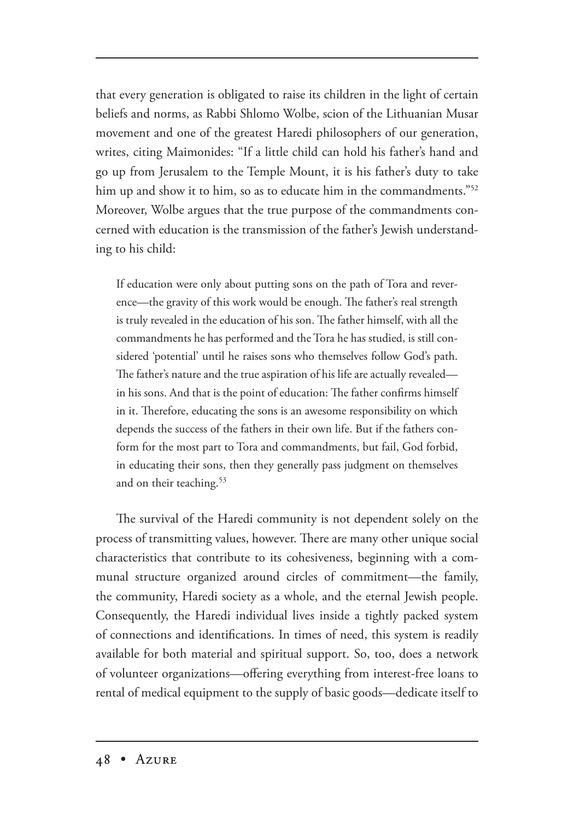that every generation is obligated to raise its children in the light of certain beliefs and norms, as Rabbi Shlomo Wolbe, scion of the Lithuanian Musar movement and one of the greatest Haredi philosophers of our generation, writes, citing Maimonides: "If a little child can hold his father's hand and go up from Jerusalem to the Temple Mount, it is his father's duty to take him up and show it to him, so as to educate him in the commandments."<sup>52</sup> Moreover, Wolbe argues that the true purpose of the commandments concerned with education is the transmission of the father's Jewish understanding to his child:

If education were only about putting sons on the path of Tora and reverence—the gravity of this work would be enough. The father's real strength is truly revealed in the education of his son. The father himself, with all the commandments he has performed and the Tora he has studied, is still considered 'potential' until he raises sons who themselves follow God's path. The father's nature and the true aspiration of his life are actually revealed in his sons. And that is the point of education: The father confirms himself in it. Therefore, educating the sons is an awesome responsibility on which depends the success of the fathers in their own life. But if the fathers conform for the most part to Tora and commandments, but fail, God forbid, in educating their sons, then they generally pass judgment on themselves and on their teaching.<sup>53</sup>

The survival of the Haredi community is not dependent solely on the process of transmitting values, however. There are many other unique social characteristics that contribute to its cohesiveness, beginning with a communal structure organized around circles of commitment—the family, the community, Haredi society as a whole, and the eternal Jewish people. Consequently, the Haredi individual lives inside a tightly packed system of connections and identifications. In times of need, this system is readily available for both material and spiritual support. So, too, does a network of volunteer organizations—offering everything from interest-free loans to rental of medical equipment to the supply of basic goods—dedicate itself to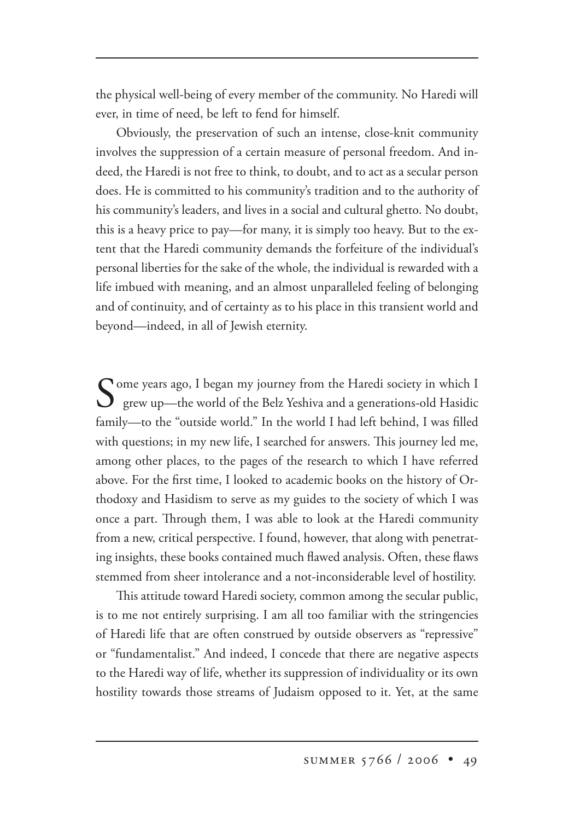the physical well-being of every member of the community. No Haredi will ever, in time of need, be left to fend for himself.

Obviously, the preservation of such an intense, close-knit community involves the suppression of a certain measure of personal freedom. And indeed, the Haredi is not free to think, to doubt, and to act as a secular person does. He is committed to his community's tradition and to the authority of his community's leaders, and lives in a social and cultural ghetto. No doubt, this is a heavy price to pay—for many, it is simply too heavy. But to the extent that the Haredi community demands the forfeiture of the individual's personal liberties for the sake of the whole, the individual is rewarded with a life imbued with meaning, and an almost unparalleled feeling of belonging and of continuity, and of certainty as to his place in this transient world and beyond—indeed, in all of Jewish eternity.

Some years ago, I began my journey from the Haredi society in which I grew up—the world of the Belz Yeshiva and a generations-old Hasidic family—to the "outside world." In the world I had left behind, I was filled with questions; in my new life, I searched for answers. This journey led me, among other places, to the pages of the research to which I have referred above. For the first time, I looked to academic books on the history of Orthodoxy and Hasidism to serve as my guides to the society of which I was once a part. Through them, I was able to look at the Haredi community from a new, critical perspective. I found, however, that along with penetrating insights, these books contained much flawed analysis. Often, these flaws stemmed from sheer intolerance and a not-inconsiderable level of hostility.

This attitude toward Haredi society, common among the secular public, is to me not entirely surprising. I am all too familiar with the stringencies of Haredi life that are often construed by outside observers as "repressive" or "fundamentalist." And indeed, I concede that there are negative aspects to the Haredi way of life, whether its suppression of individuality or its own hostility towards those streams of Judaism opposed to it. Yet, at the same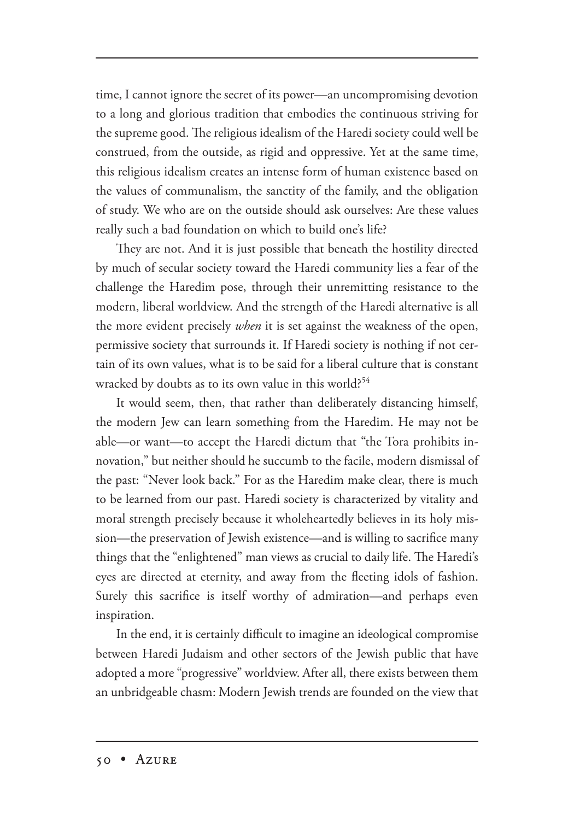time, I cannot ignore the secret of its power—an uncompromising devotion to a long and glorious tradition that embodies the continuous striving for the supreme good. The religious idealism of the Haredi society could well be construed, from the outside, as rigid and oppressive. Yet at the same time, this religious idealism creates an intense form of human existence based on the values of communalism, the sanctity of the family, and the obligation of study. We who are on the outside should ask ourselves: Are these values really such a bad foundation on which to build one's life?

They are not. And it is just possible that beneath the hostility directed by much of secular society toward the Haredi community lies a fear of the challenge the Haredim pose, through their unremitting resistance to the modern, liberal worldview. And the strength of the Haredi alternative is all the more evident precisely *when* it is set against the weakness of the open, permissive society that surrounds it. If Haredi society is nothing if not certain of its own values, what is to be said for a liberal culture that is constant wracked by doubts as to its own value in this world?<sup>54</sup>

It would seem, then, that rather than deliberately distancing himself, the modern Jew can learn something from the Haredim. He may not be able—or want—to accept the Haredi dictum that "the Tora prohibits innovation," but neither should he succumb to the facile, modern dismissal of the past: "Never look back." For as the Haredim make clear, there is much to be learned from our past. Haredi society is characterized by vitality and moral strength precisely because it wholeheartedly believes in its holy mission—the preservation of Jewish existence—and is willing to sacrifice many things that the "enlightened" man views as crucial to daily life. The Haredi's eyes are directed at eternity, and away from the fleeting idols of fashion. Surely this sacrifice is itself worthy of admiration—and perhaps even inspiration.

In the end, it is certainly difficult to imagine an ideological compromise between Haredi Judaism and other sectors of the Jewish public that have adopted a more "progressive" worldview. After all, there exists between them an unbridgeable chasm: Modern Jewish trends are founded on the view that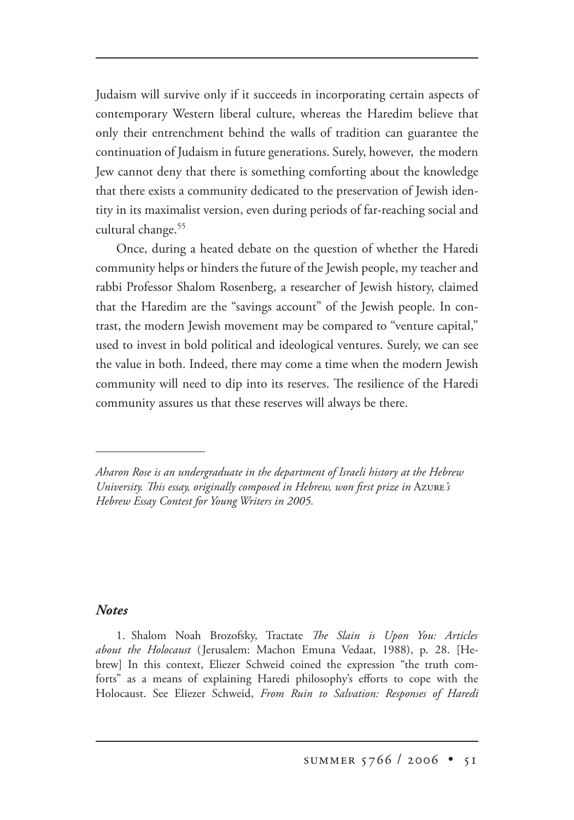Judaism will survive only if it succeeds in incorporating certain aspects of contemporary Western liberal culture, whereas the Haredim believe that only their entrenchment behind the walls of tradition can guarantee the continuation of Judaism in future generations. Surely, however, the modern Jew cannot deny that there is something comforting about the knowledge that there exists a community dedicated to the preservation of Jewish identity in its maximalist version, even during periods of far-reaching social and cultural change.55

Once, during a heated debate on the question of whether the Haredi community helps or hinders the future of the Jewish people, my teacher and rabbi Professor Shalom Rosenberg, a researcher of Jewish history, claimed that the Haredim are the "savings account" of the Jewish people. In contrast, the modern Jewish movement may be compared to "venture capital," used to invest in bold political and ideological ventures. Surely, we can see the value in both. Indeed, there may come a time when the modern Jewish community will need to dip into its reserves. The resilience of the Haredi community assures us that these reserves will always be there.

## *Notes*

1. Shalom Noah Brozofsky, Tractate *The Slain is Upon You: Articles about the Holocaust* (Jerusalem: Machon Emuna Vedaat, 1988), p. 28. [Hebrew] In this context, Eliezer Schweid coined the expression "the truth comforts" as a means of explaining Haredi philosophy's efforts to cope with the Holocaust. See Eliezer Schweid, *From Ruin to Salvation: Responses of Haredi* 

*Aharon Rose is an undergraduate in the department of Israeli history at the Hebrew University. This essay, originally composed in Hebrew, won first prize in Azure's Hebrew Essay Contest for Young Writers in 2005.*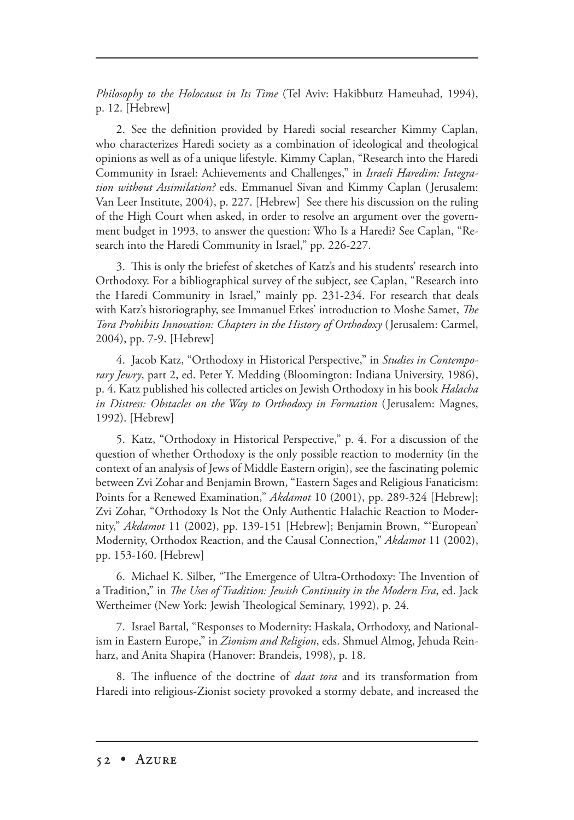*Philosophy to the Holocaust in Its Time* (Tel Aviv: Hakibbutz Hameuhad, 1994), p. 12. [Hebrew]

2. See the definition provided by Haredi social researcher Kimmy Caplan, who characterizes Haredi society as a combination of ideological and theological opinions as well as of a unique lifestyle. Kimmy Caplan, "Research into the Haredi Community in Israel: Achievements and Challenges," in *Israeli Haredim: Integration without Assimilation?* eds. Emmanuel Sivan and Kimmy Caplan (Jerusalem: Van Leer Institute, 2004), p. 227. [Hebrew] See there his discussion on the ruling of the High Court when asked, in order to resolve an argument over the government budget in 1993, to answer the question: Who Is a Haredi? See Caplan, "Research into the Haredi Community in Israel," pp. 226-227.

3. This is only the briefest of sketches of Katz's and his students' research into Orthodoxy. For a bibliographical survey of the subject, see Caplan, "Research into the Haredi Community in Israel," mainly pp. 231-234. For research that deals with Katz's historiography, see Immanuel Etkes' introduction to Moshe Samet, *The Tora Prohibits Innovation: Chapters in the History of Orthodoxy* (Jerusalem: Carmel, 2004), pp. 7-9. [Hebrew]

4. Jacob Katz, "Orthodoxy in Historical Perspective," in *Studies in Contemporary Jewry*, part 2, ed. Peter Y. Medding (Bloomington: Indiana University, 1986), p. 4. Katz published his collected articles on Jewish Orthodoxy in his book *Halacha in Distress: Obstacles on the Way to Orthodoxy in Formation* (Jerusalem: Magnes, 1992). [Hebrew]

5. Katz, "Orthodoxy in Historical Perspective," p. 4. For a discussion of the question of whether Orthodoxy is the only possible reaction to modernity (in the context of an analysis of Jews of Middle Eastern origin), see the fascinating polemic between Zvi Zohar and Benjamin Brown, "Eastern Sages and Religious Fanaticism: Points for a Renewed Examination," *Akdamot* 10 (2001), pp. 289-324 [Hebrew]; Zvi Zohar, "Orthodoxy Is Not the Only Authentic Halachic Reaction to Modernity," *Akdamot* 11 (2002), pp. 139-151 [Hebrew]; Benjamin Brown, "'European' Modernity, Orthodox Reaction, and the Causal Connection," *Akdamot* 11 (2002), pp. 153-160. [Hebrew]

6. Michael K. Silber, "The Emergence of Ultra-Orthodoxy: The Invention of a Tradition," in *The Uses of Tradition: Jewish Continuity in the Modern Era*, ed. Jack Wertheimer (New York: Jewish Theological Seminary, 1992), p. 24.

7. Israel Bartal, "Responses to Modernity: Haskala, Orthodoxy, and Nationalism in Eastern Europe," in *Zionism and Religion*, eds. Shmuel Almog, Jehuda Reinharz, and Anita Shapira (Hanover: Brandeis, 1998), p. 18.

8. The influence of the doctrine of *daat tora* and its transformation from Haredi into religious-Zionist society provoked a stormy debate, and increased the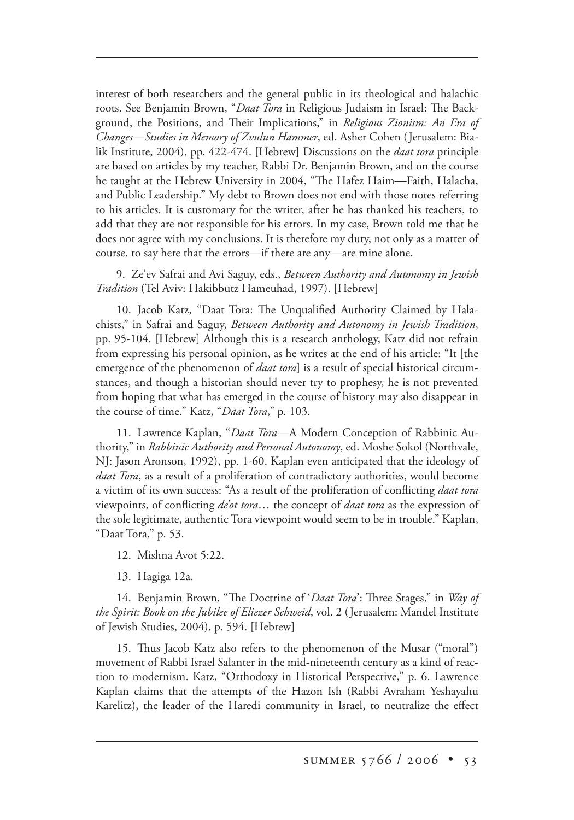interest of both researchers and the general public in its theological and halachic roots. See Benjamin Brown, "*Daat Tora* in Religious Judaism in Israel: The Background, the Positions, and Their Implications," in *Religious Zionism: An Era of Changes—Studies in Memory of Zvulun Hammer*, ed. Asher Cohen (Jerusalem: Bialik Institute, 2004), pp. 422-474. [Hebrew] Discussions on the *daat tora* principle are based on articles by my teacher, Rabbi Dr. Benjamin Brown, and on the course he taught at the Hebrew University in 2004, "The Hafez Haim—Faith, Halacha, and Public Leadership." My debt to Brown does not end with those notes referring to his articles. It is customary for the writer, after he has thanked his teachers, to add that they are not responsible for his errors. In my case, Brown told me that he does not agree with my conclusions. It is therefore my duty, not only as a matter of course, to say here that the errors—if there are any—are mine alone.

9. Ze'ev Safrai and Avi Saguy, eds., *Between Authority and Autonomy in Jewish Tradition* (Tel Aviv: Hakibbutz Hameuhad, 1997). [Hebrew]

10. Jacob Katz, "Daat Tora: The Unqualified Authority Claimed by Halachists," in Safrai and Saguy, *Between Authority and Autonomy in Jewish Tradition*, pp. 95-104. [Hebrew] Although this is a research anthology, Katz did not refrain from expressing his personal opinion, as he writes at the end of his article: "It [the emergence of the phenomenon of *daat tora*] is a result of special historical circumstances, and though a historian should never try to prophesy, he is not prevented from hoping that what has emerged in the course of history may also disappear in the course of time." Katz, "*Daat Tora*," p. 103.

11. Lawrence Kaplan, "*Daat Tora*—A Modern Conception of Rabbinic Authority," in *Rabbinic Authority and Personal Autonomy*, ed. Moshe Sokol (Northvale, NJ: Jason Aronson, 1992), pp. 1-60. Kaplan even anticipated that the ideology of *daat Tora*, as a result of a proliferation of contradictory authorities, would become a victim of its own success: "As a result of the proliferation of conflicting *daat tora* viewpoints, of conflicting *de'ot tora*… the concept of *daat tora* as the expression of the sole legitimate, authentic Tora viewpoint would seem to be in trouble." Kaplan, "Daat Tora," p. 53.

12. Mishna Avot 5:22.

13. Hagiga 12a.

14. Benjamin Brown, "The Doctrine of '*Daat Tora*': Three Stages," in *Way of the Spirit: Book on the Jubilee of Eliezer Schweid*, vol. 2 (Jerusalem: Mandel Institute of Jewish Studies, 2004), p. 594. [Hebrew]

15. Thus Jacob Katz also refers to the phenomenon of the Musar ("moral") movement of Rabbi Israel Salanter in the mid-nineteenth century as a kind of reaction to modernism. Katz, "Orthodoxy in Historical Perspective," p. 6. Lawrence Kaplan claims that the attempts of the Hazon Ish (Rabbi Avraham Yeshayahu Karelitz), the leader of the Haredi community in Israel, to neutralize the effect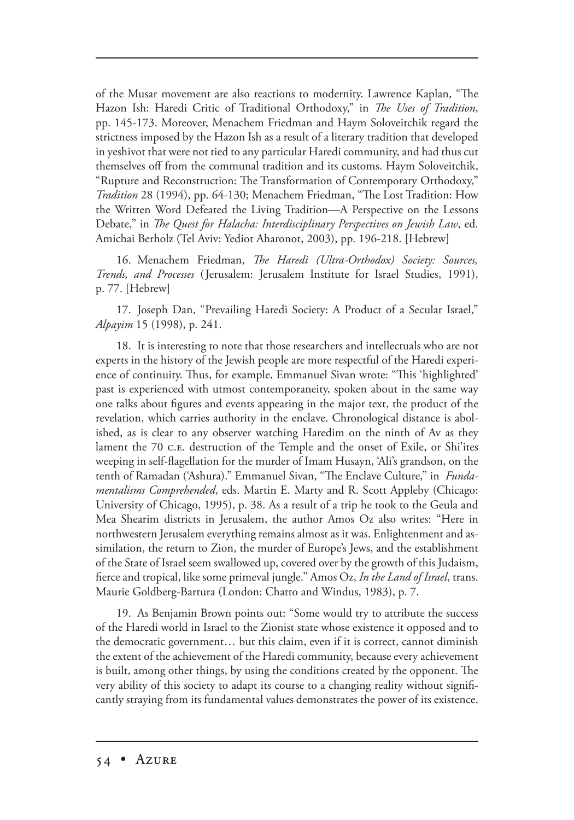of the Musar movement are also reactions to modernity. Lawrence Kaplan, "The Hazon Ish: Haredi Critic of Traditional Orthodoxy," in *The Uses of Tradition*, pp. 145-173. Moreover, Menachem Friedman and Haym Soloveitchik regard the strictness imposed by the Hazon Ish as a result of a literary tradition that developed in yeshivot that were not tied to any particular Haredi community, and had thus cut themselves off from the communal tradition and its customs. Haym Soloveitchik, "Rupture and Reconstruction: The Transformation of Contemporary Orthodoxy," *Tradition* 28 (1994), pp. 64-130; Menachem Friedman, "The Lost Tradition: How the Written Word Defeated the Living Tradition—A Perspective on the Lessons Debate," in *The Quest for Halacha: Interdisciplinary Perspectives on Jewish Law*, ed. Amichai Berholz (Tel Aviv: Yediot Aharonot, 2003), pp. 196-218. [Hebrew]

16. Menachem Friedman, *The Haredi (Ultra-Orthodox) Society: Sources*, *Trends, and Processes* (Jerusalem: Jerusalem Institute for Israel Studies, 1991), p. 77. [Hebrew]

17. Joseph Dan, "Prevailing Haredi Society: A Product of a Secular Israel," *Alpayim* 15 (1998), p. 241.

18. It is interesting to note that those researchers and intellectuals who are not experts in the history of the Jewish people are more respectful of the Haredi experience of continuity. Thus, for example, Emmanuel Sivan wrote: "This 'highlighted' past is experienced with utmost contemporaneity, spoken about in the same way one talks about figures and events appearing in the major text, the product of the revelation, which carries authority in the enclave. Chronological distance is abolished, as is clear to any observer watching Haredim on the ninth of Av as they lament the 70 c.e. destruction of the Temple and the onset of Exile, or Shi'ites weeping in self-flagellation for the murder of Imam Husayn, 'Ali's grandson, on the tenth of Ramadan ('Ashura)." Emmanuel Sivan, "The Enclave Culture," in *Fundamentalisms Comprehended*, eds. Martin E. Marty and R. Scott Appleby (Chicago: University of Chicago, 1995), p. 38. As a result of a trip he took to the Geula and Mea Shearim districts in Jerusalem, the author Amos Oz also writes: "Here in northwestern Jerusalem everything remains almost as it was. Enlightenment and assimilation, the return to Zion, the murder of Europe's Jews, and the establishment of the State of Israel seem swallowed up, covered over by the growth of this Judaism, fierce and tropical, like some primeval jungle." Amos Oz, *In the Land of Israel*, trans. Maurie Goldberg-Bartura (London: Chatto and Windus, 1983), p. 7.

19. As Benjamin Brown points out: "Some would try to attribute the success of the Haredi world in Israel to the Zionist state whose existence it opposed and to the democratic government… but this claim, even if it is correct, cannot diminish the extent of the achievement of the Haredi community, because every achievement is built, among other things, by using the conditions created by the opponent. The very ability of this society to adapt its course to a changing reality without significantly straying from its fundamental values demonstrates the power of its existence.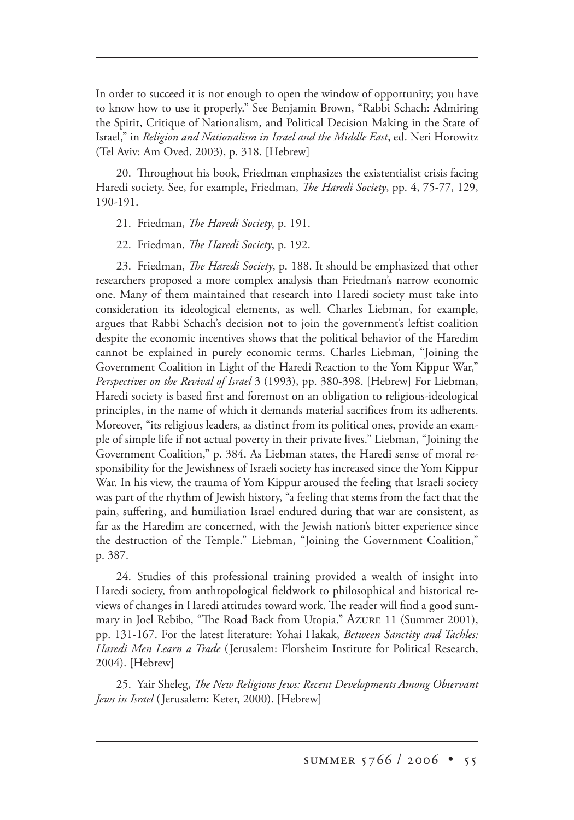In order to succeed it is not enough to open the window of opportunity; you have to know how to use it properly." See Benjamin Brown, "Rabbi Schach: Admiring the Spirit, Critique of Nationalism, and Political Decision Making in the State of Israel," in *Religion and Nationalism in Israel and the Middle East*, ed. Neri Horowitz (Tel Aviv: Am Oved, 2003), p. 318. [Hebrew]

20. Throughout his book, Friedman emphasizes the existentialist crisis facing Haredi society. See, for example, Friedman, *The Haredi Society*, pp. 4, 75-77, 129, 190-191.

21. Friedman, *The Haredi Society*, p. 191.

22. Friedman, *The Haredi Society*, p. 192.

23. Friedman, *The Haredi Society*, p. 188. It should be emphasized that other researchers proposed a more complex analysis than Friedman's narrow economic one. Many of them maintained that research into Haredi society must take into consideration its ideological elements, as well. Charles Liebman, for example, argues that Rabbi Schach's decision not to join the government's leftist coalition despite the economic incentives shows that the political behavior of the Haredim cannot be explained in purely economic terms. Charles Liebman, "Joining the Government Coalition in Light of the Haredi Reaction to the Yom Kippur War," *Perspectives on the Revival of Israel* 3 (1993), pp. 380-398. [Hebrew] For Liebman, Haredi society is based first and foremost on an obligation to religious-ideological principles, in the name of which it demands material sacrifices from its adherents. Moreover, "its religious leaders, as distinct from its political ones, provide an example of simple life if not actual poverty in their private lives." Liebman, "Joining the Government Coalition," p. 384. As Liebman states, the Haredi sense of moral responsibility for the Jewishness of Israeli society has increased since the Yom Kippur War. In his view, the trauma of Yom Kippur aroused the feeling that Israeli society was part of the rhythm of Jewish history, "a feeling that stems from the fact that the pain, suffering, and humiliation Israel endured during that war are consistent, as far as the Haredim are concerned, with the Jewish nation's bitter experience since the destruction of the Temple." Liebman, "Joining the Government Coalition," p. 387.

24. Studies of this professional training provided a wealth of insight into Haredi society, from anthropological fieldwork to philosophical and historical reviews of changes in Haredi attitudes toward work. The reader will find a good summary in Joel Rebibo, "The Road Back from Utopia," Azure 11 (Summer 2001), pp. 131-167. For the latest literature: Yohai Hakak, *Between Sanctity and Tachles: Haredi Men Learn a Trade* (Jerusalem: Florsheim Institute for Political Research, 2004). [Hebrew]

25. Yair Sheleg, *The New Religious Jews: Recent Developments Among Observant Jews in Israel* (Jerusalem: Keter, 2000). [Hebrew]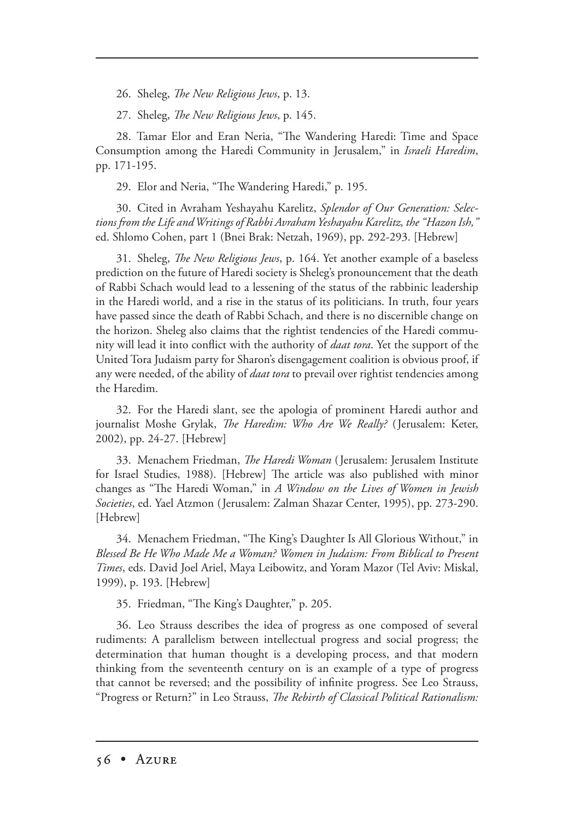26. Sheleg, *The New Religious Jews*, p. 13.

27. Sheleg, *The New Religious Jews*, p. 145.

28. Tamar Elor and Eran Neria, "The Wandering Haredi: Time and Space Consumption among the Haredi Community in Jerusalem," in *Israeli Haredim*, pp. 171-195.

29. Elor and Neria, "The Wandering Haredi," p. 195.

30. Cited in Avraham Yeshayahu Karelitz, *Splendor of Our Generation: Selections from the Life and Writings of Rabbi Avraham Yeshayahu Karelitz, the "Hazon Ish,"* ed. Shlomo Cohen, part 1 (Bnei Brak: Netzah, 1969), pp. 292-293. [Hebrew]

31. Sheleg, *The New Religious Jews*, p. 164. Yet another example of a baseless prediction on the future of Haredi society is Sheleg's pronouncement that the death of Rabbi Schach would lead to a lessening of the status of the rabbinic leadership in the Haredi world, and a rise in the status of its politicians. In truth, four years have passed since the death of Rabbi Schach, and there is no discernible change on the horizon. Sheleg also claims that the rightist tendencies of the Haredi community will lead it into conflict with the authority of *daat tora*. Yet the support of the United Tora Judaism party for Sharon's disengagement coalition is obvious proof, if any were needed, of the ability of *daat tora* to prevail over rightist tendencies among the Haredim.

32. For the Haredi slant, see the apologia of prominent Haredi author and journalist Moshe Grylak, *The Haredim: Who Are We Really?* (Jerusalem: Keter, 2002), pp. 24-27. [Hebrew]

33. Menachem Friedman, *The Haredi Woman* (Jerusalem: Jerusalem Institute for Israel Studies, 1988). [Hebrew] The article was also published with minor changes as "The Haredi Woman," in *A Window on the Lives of Women in Jewish Societies*, ed. Yael Atzmon (Jerusalem: Zalman Shazar Center, 1995), pp. 273-290. [Hebrew]

34. Menachem Friedman, "The King's Daughter Is All Glorious Without," in *Blessed Be He Who Made Me a Woman? Women in Judaism: From Biblical to Present Times*, eds. David Joel Ariel, Maya Leibowitz, and Yoram Mazor (Tel Aviv: Miskal, 1999), p. 193. [Hebrew]

35. Friedman, "The King's Daughter," p. 205.

36. Leo Strauss describes the idea of progress as one composed of several rudiments: A parallelism between intellectual progress and social progress; the determination that human thought is a developing process, and that modern thinking from the seventeenth century on is an example of a type of progress that cannot be reversed; and the possibility of infinite progress. See Leo Strauss, "Progress or Return?" in Leo Strauss, *The Rebirth of Classical Political Rationalism*: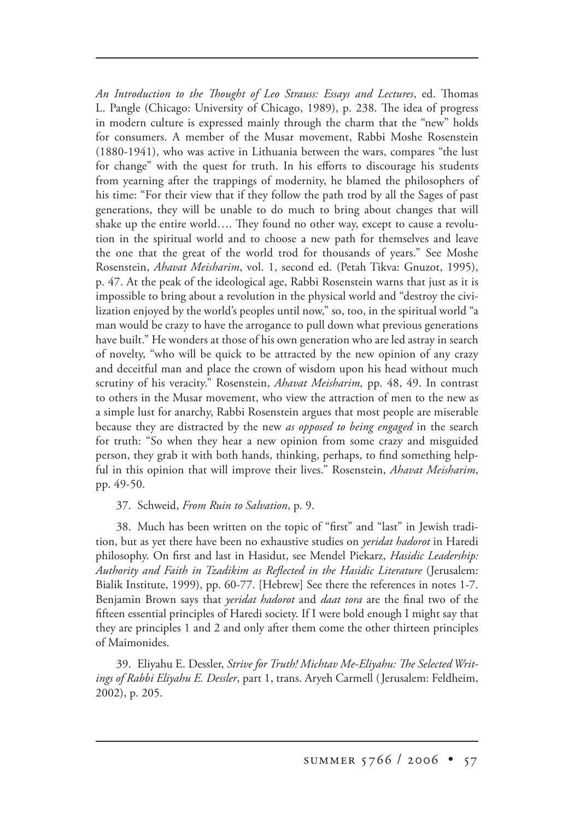*An Introduction to the Thought of Leo Strauss: Essays and Lectures*, ed. Thomas L. Pangle (Chicago: University of Chicago, 1989), p. 238. The idea of progress in modern culture is expressed mainly through the charm that the "new" holds for consumers. A member of the Musar movement, Rabbi Moshe Rosenstein (1880-1941), who was active in Lithuania between the wars, compares "the lust for change" with the quest for truth. In his efforts to discourage his students from yearning after the trappings of modernity, he blamed the philosophers of his time: "For their view that if they follow the path trod by all the Sages of past generations, they will be unable to do much to bring about changes that will shake up the entire world.... They found no other way, except to cause a revolution in the spiritual world and to choose a new path for themselves and leave the one that the great of the world trod for thousands of years." See Moshe Rosenstein, *Ahavat Meisharim*, vol. 1, second ed. (Petah Tikva: Gnuzot, 1995), p. 47. At the peak of the ideological age, Rabbi Rosenstein warns that just as it is impossible to bring about a revolution in the physical world and "destroy the civilization enjoyed by the world's peoples until now," so, too, in the spiritual world "a man would be crazy to have the arrogance to pull down what previous generations have built." He wonders at those of his own generation who are led astray in search of novelty, "who will be quick to be attracted by the new opinion of any crazy and deceitful man and place the crown of wisdom upon his head without much scrutiny of his veracity." Rosenstein, *Ahavat Meisharim,* pp. 48, 49. In contrast to others in the Musar movement, who view the attraction of men to the new as a simple lust for anarchy, Rabbi Rosenstein argues that most people are miserable because they are distracted by the new *as opposed to being engaged* in the search for truth: "So when they hear a new opinion from some crazy and misguided person, they grab it with both hands, thinking, perhaps, to find something helpful in this opinion that will improve their lives." Rosenstein, *Ahavat Meisharim*, pp. 49-50.

## 37. Schweid, *From Ruin to Salvation*, p. 9.

38. Much has been written on the topic of "first" and "last" in Jewish tradition, but as yet there have been no exhaustive studies on *yeridat hadorot* in Haredi philosophy. On first and last in Hasidut, see Mendel Piekarz, *Hasidic Leadership: Authority and Faith in Tzadikim as Reflected in the Hasidic Literature* (Jerusalem: Bialik Institute, 1999), pp. 60-77. [Hebrew] See there the references in notes 1-7. Benjamin Brown says that *yeridat hadorot* and *daat tora* are the final two of the fifteen essential principles of Haredi society. If I were bold enough I might say that they are principles 1 and 2 and only after them come the other thirteen principles of Maimonides.

39. Eliyahu E. Dessler, Strive for Truth! Michtav Me-Eliyahu: The Selected Writ*ings of Rabbi Eliyahu E. Dessler*, part 1, trans. Aryeh Carmell (Jerusalem: Feldheim, 2002), p. 205.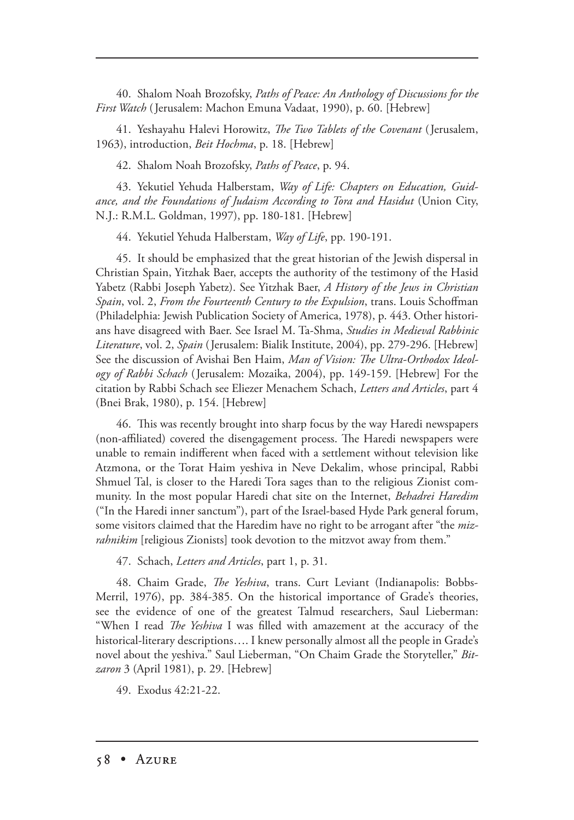40. Shalom Noah Brozofsky, *Paths of Peace: An Anthology of Discussions for the First Watch* ( Jerusalem: Machon Emuna Vadaat, 1990), p. 60. [Hebrew]

41. Yeshayahu Halevi Horowitz, *e Two Tablets of the Covenant* (Jerusalem, 1963), introduction, *Beit Hochma*, p. 18. [Hebrew]

42. Shalom Noah Brozofsky, *Paths of Peace*, p. 94.

43. Yekutiel Yehuda Halberstam, *Way of Life: Chapters on Education, Guidance, and the Foundations of Judaism According to Tora and Hasidut* (Union City, N.J.: R.M.L. Goldman, 1997), pp. 180-181. [Hebrew]

44. Yekutiel Yehuda Halberstam, *Way of Life*, pp. 190-191.

45. It should be emphasized that the great historian of the Jewish dispersal in Christian Spain, Yitzhak Baer, accepts the authority of the testimony of the Hasid Yabetz (Rabbi Joseph Yabetz). See Yitzhak Baer, *A History of the Jews in Christian Spain*, vol. 2, *From the Fourteenth Century to the Expulsion*, trans. Louis Schoffman (Philadelphia: Jewish Publication Society of America, 1978), p. 443. Other historians have disagreed with Baer. See Israel M. Ta-Shma, *Studies in Medieval Rabbinic Literature*, vol. 2, *Spain* (Jerusalem: Bialik Institute, 2004), pp. 279-296. [Hebrew] See the discussion of Avishai Ben Haim, Man of Vision: The Ultra-Orthodox Ideol*ogy of Rabbi Schach* (Jerusalem: Mozaika, 2004), pp. 149-159. [Hebrew] For the citation by Rabbi Schach see Eliezer Menachem Schach, *Letters and Articles*, part 4 (Bnei Brak, 1980), p. 154. [Hebrew]

46. This was recently brought into sharp focus by the way Haredi newspapers (non-affiliated) covered the disengagement process. The Haredi newspapers were unable to remain indifferent when faced with a settlement without television like Atzmona, or the Torat Haim yeshiva in Neve Dekalim, whose principal, Rabbi Shmuel Tal, is closer to the Haredi Tora sages than to the religious Zionist community. In the most popular Haredi chat site on the Internet, *Behadrei Haredim* ("In the Haredi inner sanctum"), part of the Israel-based Hyde Park general forum, some visitors claimed that the Haredim have no right to be arrogant after "the *mizrahnikim* [religious Zionists] took devotion to the mitzvot away from them."

47. Schach, *Letters and Articles*, part 1, p. 31.

48. Chaim Grade, *The Yeshiva*, trans. Curt Leviant (Indianapolis: Bobbs-Merril, 1976), pp. 384-385. On the historical importance of Grade's theories, see the evidence of one of the greatest Talmud researchers, Saul Lieberman: "When I read *The Yeshiva* I was filled with amazement at the accuracy of the historical-literary descriptions…. I knew personally almost all the people in Grade's novel about the yeshiva." Saul Lieberman, "On Chaim Grade the Storyteller," *Bitzaron* 3 (April 1981), p. 29. [Hebrew]

49. Exodus 42:21-22.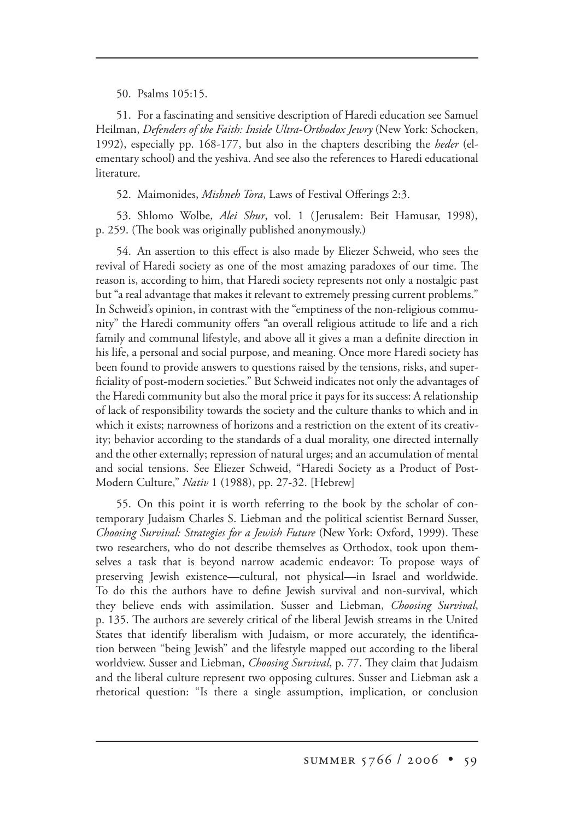50. Psalms 105:15.

51. For a fascinating and sensitive description of Haredi education see Samuel Heilman, *Defenders of the Faith: Inside Ultra-Orthodox Jewry* (New York: Schocken, 1992), especially pp. 168-177, but also in the chapters describing the *heder* (elementary school) and the yeshiva. And see also the references to Haredi educational literature.

52. Maimonides, *Mishneh Tora*, Laws of Festival Offerings 2:3.

53. Shlomo Wolbe, *Alei Shur*, vol. 1 (Jerusalem: Beit Hamusar, 1998), p. 259. (The book was originally published anonymously.)

54. An assertion to this effect is also made by Eliezer Schweid, who sees the revival of Haredi society as one of the most amazing paradoxes of our time. The reason is, according to him, that Haredi society represents not only a nostalgic past but "a real advantage that makes it relevant to extremely pressing current problems." In Schweid's opinion, in contrast with the "emptiness of the non-religious community" the Haredi community offers "an overall religious attitude to life and a rich family and communal lifestyle, and above all it gives a man a definite direction in his life, a personal and social purpose, and meaning. Once more Haredi society has been found to provide answers to questions raised by the tensions, risks, and superficiality of post-modern societies." But Schweid indicates not only the advantages of the Haredi community but also the moral price it pays for its success: A relationship of lack of responsibility towards the society and the culture thanks to which and in which it exists; narrowness of horizons and a restriction on the extent of its creativity; behavior according to the standards of a dual morality, one directed internally and the other externally; repression of natural urges; and an accumulation of mental and social tensions. See Eliezer Schweid, "Haredi Society as a Product of Post-Modern Culture," *Nativ* 1 (1988), pp. 27-32. [Hebrew]

55. On this point it is worth referring to the book by the scholar of contemporary Judaism Charles S. Liebman and the political scientist Bernard Susser, *Choosing Survival: Strategies for a Jewish Future* (New York: Oxford, 1999). These two researchers, who do not describe themselves as Orthodox, took upon themselves a task that is beyond narrow academic endeavor: To propose ways of preserving Jewish existence—cultural, not physical—in Israel and worldwide. To do this the authors have to define Jewish survival and non-survival, which they believe ends with assimilation. Susser and Liebman, *Choosing Survival*, p. 135. The authors are severely critical of the liberal Jewish streams in the United States that identify liberalism with Judaism, or more accurately, the identification between "being Jewish" and the lifestyle mapped out according to the liberal worldview. Susser and Liebman, *Choosing Survival*, p. 77. They claim that Judaism and the liberal culture represent two opposing cultures. Susser and Liebman ask a rhetorical question: "Is there a single assumption, implication, or conclusion